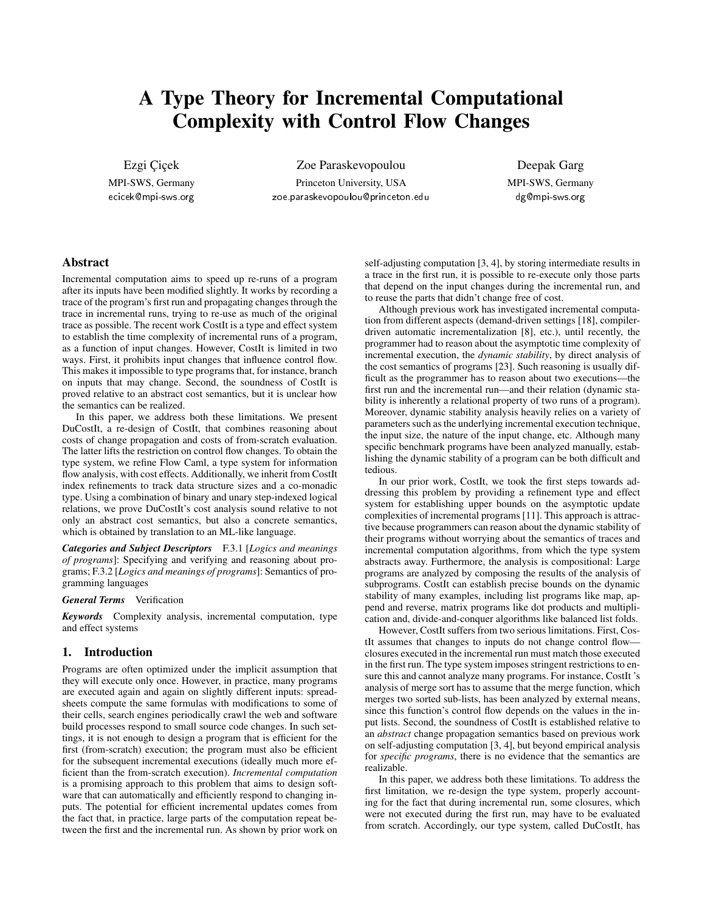# A Type Theory for Incremental Computational Complexity with Control Flow Changes

Ezgi Çiçek MPI-SWS, Germany

ecicek@mpi-sws.org

Zoe Paraskevopoulou Princeton University, USA zoe.paraskevopoulou@princeton.edu

Deepak Garg MPI-SWS, Germany dg@mpi-sws.org

# Abstract

Incremental computation aims to speed up re-runs of a program after its inputs have been modified slightly. It works by recording a trace of the program's first run and propagating changes through the trace in incremental runs, trying to re-use as much of the original trace as possible. The recent work CostIt is a type and effect system to establish the time complexity of incremental runs of a program, as a function of input changes. However, CostIt is limited in two ways. First, it prohibits input changes that influence control flow. This makes it impossible to type programs that, for instance, branch on inputs that may change. Second, the soundness of CostIt is proved relative to an abstract cost semantics, but it is unclear how the semantics can be realized.

In this paper, we address both these limitations. We present DuCostIt, a re-design of CostIt, that combines reasoning about costs of change propagation and costs of from-scratch evaluation. The latter lifts the restriction on control flow changes. To obtain the type system, we refine Flow Caml, a type system for information flow analysis, with cost effects. Additionally, we inherit from CostIt index refinements to track data structure sizes and a co-monadic type. Using a combination of binary and unary step-indexed logical relations, we prove DuCostIt's cost analysis sound relative to not only an abstract cost semantics, but also a concrete semantics, which is obtained by translation to an ML-like language.

*Categories and Subject Descriptors* F.3.1 [*Logics and meanings of programs*]: Specifying and verifying and reasoning about programs; F.3.2 [*Logics and meanings of programs*]: Semantics of programming languages

#### *General Terms* Verification

*Keywords* Complexity analysis, incremental computation, type and effect systems

## 1. Introduction

Programs are often optimized under the implicit assumption that they will execute only once. However, in practice, many programs are executed again and again on slightly different inputs: spreadsheets compute the same formulas with modifications to some of their cells, search engines periodically crawl the web and software build processes respond to small source code changes. In such settings, it is not enough to design a program that is efficient for the first (from-scratch) execution; the program must also be efficient for the subsequent incremental executions (ideally much more efficient than the from-scratch execution). *Incremental computation* is a promising approach to this problem that aims to design software that can automatically and efficiently respond to changing inputs. The potential for efficient incremental updates comes from the fact that, in practice, large parts of the computation repeat between the first and the incremental run. As shown by prior work on self-adjusting computation [3, 4], by storing intermediate results in a trace in the first run, it is possible to re-execute only those parts that depend on the input changes during the incremental run, and to reuse the parts that didn't change free of cost.

Although previous work has investigated incremental computation from different aspects (demand-driven settings [18], compilerdriven automatic incrementalization [8], etc.), until recently, the programmer had to reason about the asymptotic time complexity of incremental execution, the *dynamic stability*, by direct analysis of the cost semantics of programs [23]. Such reasoning is usually difficult as the programmer has to reason about two executions—the first run and the incremental run—and their relation (dynamic stability is inherently a relational property of two runs of a program). Moreover, dynamic stability analysis heavily relies on a variety of parameters such as the underlying incremental execution technique, the input size, the nature of the input change, etc. Although many specific benchmark programs have been analyzed manually, establishing the dynamic stability of a program can be both difficult and tedious.

In our prior work, CostIt, we took the first steps towards addressing this problem by providing a refinement type and effect system for establishing upper bounds on the asymptotic update complexities of incremental programs [11]. This approach is attractive because programmers can reason about the dynamic stability of their programs without worrying about the semantics of traces and incremental computation algorithms, from which the type system abstracts away. Furthermore, the analysis is compositional: Large programs are analyzed by composing the results of the analysis of subprograms. CostIt can establish precise bounds on the dynamic stability of many examples, including list programs like map, append and reverse, matrix programs like dot products and multiplication and, divide-and-conquer algorithms like balanced list folds.

However, CostIt suffers from two serious limitations. First, CostIt assumes that changes to inputs do not change control flow closures executed in the incremental run must match those executed in the first run. The type system imposes stringent restrictions to ensure this and cannot analyze many programs. For instance, CostIt 's analysis of merge sort has to assume that the merge function, which merges two sorted sub-lists, has been analyzed by external means, since this function's control flow depends on the values in the input lists. Second, the soundness of CostIt is established relative to an *abstract* change propagation semantics based on previous work on self-adjusting computation [3, 4], but beyond empirical analysis for *specific programs*, there is no evidence that the semantics are realizable.

In this paper, we address both these limitations. To address the first limitation, we re-design the type system, properly accounting for the fact that during incremental run, some closures, which were not executed during the first run, may have to be evaluated from scratch. Accordingly, our type system, called DuCostIt, has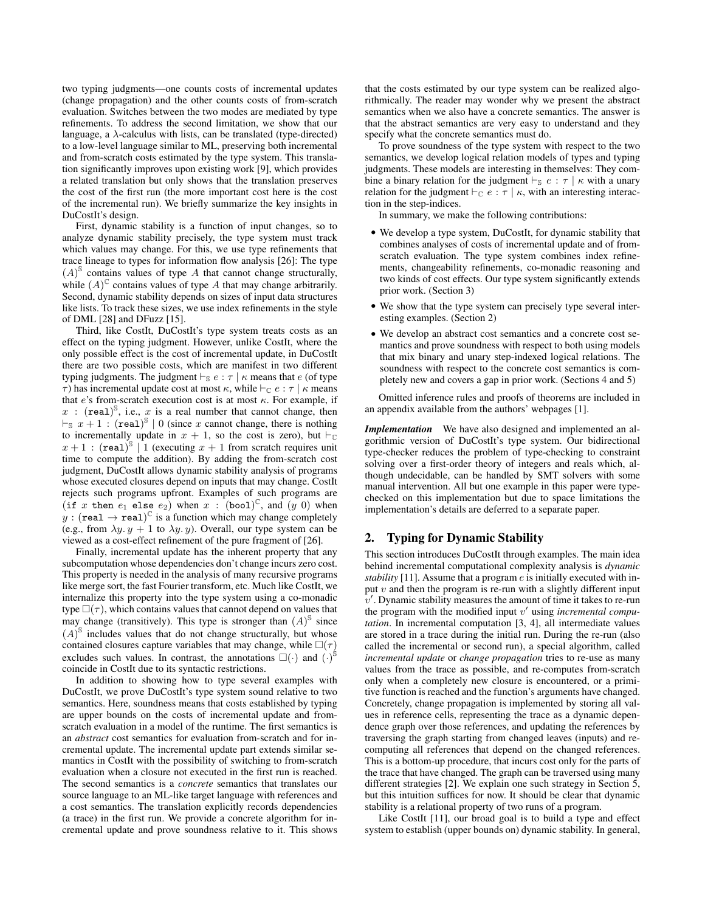two typing judgments—one counts costs of incremental updates (change propagation) and the other counts costs of from-scratch evaluation. Switches between the two modes are mediated by type refinements. To address the second limitation, we show that our language, a  $\lambda$ -calculus with lists, can be translated (type-directed) to a low-level language similar to ML, preserving both incremental and from-scratch costs estimated by the type system. This translation significantly improves upon existing work [9], which provides a related translation but only shows that the translation preserves the cost of the first run (the more important cost here is the cost of the incremental run). We briefly summarize the key insights in DuCostIt's design.

First, dynamic stability is a function of input changes, so to analyze dynamic stability precisely, the type system must track which values may change. For this, we use type refinements that trace lineage to types for information flow analysis [26]: The type  $(A)$ <sup>S</sup> contains values of type A that cannot change structurally, while  $(A)^\mathbb{C}$  contains values of type A that may change arbitrarily. Second, dynamic stability depends on sizes of input data structures like lists. To track these sizes, we use index refinements in the style of DML [28] and DFuzz [15].

Third, like CostIt, DuCostIt's type system treats costs as an effect on the typing judgment. However, unlike CostIt, where the only possible effect is the cost of incremental update, in DuCostIt there are two possible costs, which are manifest in two different typing judgments. The judgment  $\vdash_{\mathbb{S}} e : \tau \mid \kappa$  means that e (of type τ) has incremental update cost at most κ, while  $\vdash_{\mathbb{C}} e : \tau \mid \kappa$  means that e's from-scratch execution cost is at most  $\kappa$ . For example, if x : (real)<sup>S</sup>, i.e., x is a real number that cannot change, then  $\vdash_{\mathbb{S}} x + 1$ : (real)<sup>\S</sup> | 0 (since x cannot change, there is nothing to incrementally update in  $x + 1$ , so the cost is zero), but  $\vdash_{\mathbb{C}}$  $x+1$ : (real)<sup>S</sup> | 1 (executing  $x+1$  from scratch requires unit time to compute the addition). By adding the from-scratch cost judgment, DuCostIt allows dynamic stability analysis of programs whose executed closures depend on inputs that may change. CostIt rejects such programs upfront. Examples of such programs are (if x then  $e_1$  else  $e_2$ ) when  $x$  : (bool)<sup>C</sup>, and  $(y\ 0)$  when  $y : (real \rightarrow real)^{\mathbb{C}}$  is a function which may change completely (e.g., from  $\lambda y. y + 1$  to  $\lambda y. y$ ). Overall, our type system can be viewed as a cost-effect refinement of the pure fragment of [26].

Finally, incremental update has the inherent property that any subcomputation whose dependencies don't change incurs zero cost. This property is needed in the analysis of many recursive programs like merge sort, the fast Fourier transform, etc. Much like CostIt, we internalize this property into the type system using a co-monadic type  $\square(\tau)$ , which contains values that cannot depend on values that may change (transitively). This type is stronger than  $(A)^\text{S}$  since  $(A)$ <sup>S</sup> includes values that do not change structurally, but whose contained closures capture variables that may change, while  $\square(\tau)$ excludes such values. In contrast, the annotations  $\square(\cdot)$  and  $\left(\cdot\right)^{\hat{\mathbb{S}}}$ coincide in CostIt due to its syntactic restrictions.

In addition to showing how to type several examples with DuCostIt, we prove DuCostIt's type system sound relative to two semantics. Here, soundness means that costs established by typing are upper bounds on the costs of incremental update and fromscratch evaluation in a model of the runtime. The first semantics is an *abstract* cost semantics for evaluation from-scratch and for incremental update. The incremental update part extends similar semantics in CostIt with the possibility of switching to from-scratch evaluation when a closure not executed in the first run is reached. The second semantics is a *concrete* semantics that translates our source language to an ML-like target language with references and a cost semantics. The translation explicitly records dependencies (a trace) in the first run. We provide a concrete algorithm for incremental update and prove soundness relative to it. This shows that the costs estimated by our type system can be realized algorithmically. The reader may wonder why we present the abstract semantics when we also have a concrete semantics. The answer is that the abstract semantics are very easy to understand and they specify what the concrete semantics must do.

To prove soundness of the type system with respect to the two semantics, we develop logical relation models of types and typing judgments. These models are interesting in themselves: They combine a binary relation for the judgment  $\vdash_{\mathbb{S}} e : \tau \mid \kappa$  with a unary relation for the judgment  $\vdash_{\mathbb{C}} e : \tau \mid \kappa$ , with an interesting interaction in the step-indices.

In summary, we make the following contributions:

- We develop a type system, DuCostIt, for dynamic stability that combines analyses of costs of incremental update and of fromscratch evaluation. The type system combines index refinements, changeability refinements, co-monadic reasoning and two kinds of cost effects. Our type system significantly extends prior work. (Section 3)
- We show that the type system can precisely type several interesting examples. (Section 2)
- We develop an abstract cost semantics and a concrete cost semantics and prove soundness with respect to both using models that mix binary and unary step-indexed logical relations. The soundness with respect to the concrete cost semantics is completely new and covers a gap in prior work. (Sections 4 and 5)

Omitted inference rules and proofs of theorems are included in an appendix available from the authors' webpages [1].

*Implementation* We have also designed and implemented an algorithmic version of DuCostIt's type system. Our bidirectional type-checker reduces the problem of type-checking to constraint solving over a first-order theory of integers and reals which, although undecidable, can be handled by SMT solvers with some manual intervention. All but one example in this paper were typechecked on this implementation but due to space limitations the implementation's details are deferred to a separate paper.

# 2. Typing for Dynamic Stability

This section introduces DuCostIt through examples. The main idea behind incremental computational complexity analysis is *dynamic stability* [11]. Assume that a program e is initially executed with input  $v$  and then the program is re-run with a slightly different input  $v'$ . Dynamic stability measures the amount of time it takes to re-run the program with the modified input v' using *incremental computation*. In incremental computation [3, 4], all intermediate values are stored in a trace during the initial run. During the re-run (also called the incremental or second run), a special algorithm, called *incremental update* or *change propagation* tries to re-use as many values from the trace as possible, and re-computes from-scratch only when a completely new closure is encountered, or a primitive function is reached and the function's arguments have changed. Concretely, change propagation is implemented by storing all values in reference cells, representing the trace as a dynamic dependence graph over those references, and updating the references by traversing the graph starting from changed leaves (inputs) and recomputing all references that depend on the changed references. This is a bottom-up procedure, that incurs cost only for the parts of the trace that have changed. The graph can be traversed using many different strategies [2]. We explain one such strategy in Section 5, but this intuition suffices for now. It should be clear that dynamic stability is a relational property of two runs of a program.

Like CostIt [11], our broad goal is to build a type and effect system to establish (upper bounds on) dynamic stability. In general,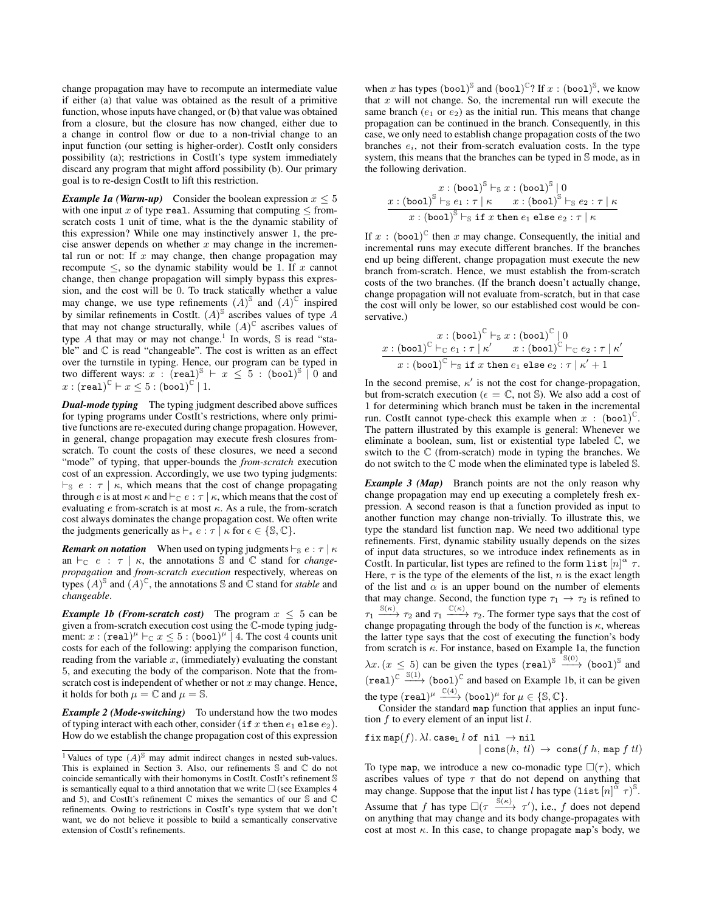change propagation may have to recompute an intermediate value if either (a) that value was obtained as the result of a primitive function, whose inputs have changed, or (b) that value was obtained from a closure, but the closure has now changed, either due to a change in control flow or due to a non-trivial change to an input function (our setting is higher-order). CostIt only considers possibility (a); restrictions in CostIt's type system immediately discard any program that might afford possibility (b). Our primary goal is to re-design CostIt to lift this restriction.

*Example 1a (Warm-up)* Consider the boolean expression  $x \leq 5$ with one input x of type real. Assuming that computing  $\leq$  fromscratch costs 1 unit of time, what is the the dynamic stability of this expression? While one may instinctively answer 1, the precise answer depends on whether  $x$  may change in the incremental run or not: If  $x$  may change, then change propagation may recompute  $\leq$ , so the dynamic stability would be 1. If x cannot change, then change propagation will simply bypass this expression, and the cost will be 0. To track statically whether a value may change, we use type refinements  $(A)^\mathbb{S}$  and  $(A)^\mathbb{C}$  inspired by similar refinements in CostIt.  $(A)^\$$  ascribes values of type A that may not change structurally, while  $(A)^\mathbb{C}$  ascribes values of type A that may or may not change.<sup>1</sup> In words,  $\Im$  is read "stable" and  $\mathbb C$  is read "changeable". The cost is written as an effect over the turnstile in typing. Hence, our program can be typed in two different ways:  $x : (\text{real})^8 + x \le 5 : (\text{bool})^8 \mid 0$  and  $x:({\tt real})^\mathbb C \vdash x\leq 5:({\tt bool})^\mathbb C \dot{\,} 1.$ 

*Dual-mode typing* The typing judgment described above suffices for typing programs under CostIt's restrictions, where only primitive functions are re-executed during change propagation. However, in general, change propagation may execute fresh closures fromscratch. To count the costs of these closures, we need a second "mode" of typing, that upper-bounds the *from-scratch* execution cost of an expression. Accordingly, we use two typing judgments:  $\vdash_{\mathbb{S}} e : \tau \mid \kappa$ , which means that the cost of change propagating through e is at most  $\kappa$  and  $\vdash_{\mathbb{C}} e : \tau \mid \kappa$ , which means that the cost of evaluating  $e$  from-scratch is at most  $\kappa$ . As a rule, the from-scratch cost always dominates the change propagation cost. We often write the judgments generically as  $\vdash_{\epsilon} e : \tau \mid \kappa$  for  $\epsilon \in \{\mathbb{S}, \mathbb{C}\}.$ 

*Remark on notation* When used on typing judgments  $\vdash_{\mathcal{S}} e : \tau \mid \kappa$ an  $\vdash_{\mathbb{C}} e : \tau \mid \kappa$ , the annotations S and C stand for *changepropagation* and *from-scratch execution* respectively, whereas on types  $(A)^\mathbb{S}$  and  $(A)^\mathbb{C}$ , the annotations  $\mathbb S$  and  $\mathbb C$  stand for *stable* and *changeable*.

*Example 1b (From-scratch cost)* The program  $x \leq 5$  can be given a from-scratch execution cost using the C-mode typing judgment:  $x : (real)^{\mu} \vdash_{\mathbb{C}} x \leq 5 : (bool)^{\mu} \upharpoonright 4$ . The cost 4 counts unit costs for each of the following: applying the comparison function, reading from the variable  $x$ , (immediately) evaluating the constant 5, and executing the body of the comparison. Note that the fromscratch cost is independent of whether or not  $x$  may change. Hence, it holds for both  $\mu = \mathbb{C}$  and  $\mu = \mathbb{S}$ .

*Example 2 (Mode-switching)* To understand how the two modes of typing interact with each other, consider (if x then  $e_1$  else  $e_2$ ). How do we establish the change propagation cost of this expression

when x has types  $(b \cdot \text{ood})^{\mathbb{S}}$  and  $(b \cdot \text{ood})^{\mathbb{C}}$ ? If  $x : (b \cdot \text{ood})^{\mathbb{S}}$ , we know that  $x$  will not change. So, the incremental run will execute the same branch  $(e_1 \text{ or } e_2)$  as the initial run. This means that change propagation can be continued in the branch. Consequently, in this case, we only need to establish change propagation costs of the two branches  $e_i$ , not their from-scratch evaluation costs. In the type system, this means that the branches can be typed in S mode, as in the following derivation.

$$
x: (\text{bool})^{\mathbb{S}} \vdash_{\mathbb{S}} x: (\text{bool})^{\mathbb{S}} \mid 0
$$
  

$$
\frac{x: (\text{bool})^{\mathbb{S}} \vdash_{\mathbb{S}} e_1 : \tau \mid \kappa \qquad x : (\text{bool})^{\mathbb{S}} \vdash_{\mathbb{S}} e_2 : \tau \mid \kappa}{x : (\text{bool})^{\mathbb{S}} \vdash_{\mathbb{S}} \text{if } x \text{ then } e_1 \text{ else } e_2 : \tau \mid \kappa}
$$

If  $x$ : (bool)<sup> $\mathbb C$ </sup> then  $x$  may change. Consequently, the initial and incremental runs may execute different branches. If the branches end up being different, change propagation must execute the new branch from-scratch. Hence, we must establish the from-scratch costs of the two branches. (If the branch doesn't actually change, change propagation will not evaluate from-scratch, but in that case the cost will only be lower, so our established cost would be conservative.)

$$
x: (\text{bool})^{\mathbb{C}} \vdash_{\mathbb{S}} x: (\text{bool})^{\mathbb{C}} \mid 0
$$
  

$$
x: (\text{bool})^{\mathbb{C}} \vdash_{\mathbb{C}} e_1 : \tau \mid \kappa' \qquad x: (\text{bool})^{\mathbb{C}} \vdash_{\mathbb{C}} e_2 : \tau \mid \kappa'
$$
  

$$
x: (\text{bool})^{\mathbb{C}} \vdash_{\mathbb{S}} \text{if } x \text{ then } e_1 \text{ else } e_2 : \tau \mid \kappa' + 1
$$

In the second premise,  $\kappa'$  is not the cost for change-propagation, but from-scratch execution ( $\epsilon = \mathbb{C}$ , not S). We also add a cost of 1 for determining which branch must be taken in the incremental run. CostIt cannot type-check this example when  $x$  : (bool)<sup>C</sup>. The pattern illustrated by this example is general: Whenever we eliminate a boolean, sum, list or existential type labeled C, we switch to the  $\mathbb C$  (from-scratch) mode in typing the branches. We do not switch to the C mode when the eliminated type is labeled S.

*Example 3 (Map)* Branch points are not the only reason why change propagation may end up executing a completely fresh expression. A second reason is that a function provided as input to another function may change non-trivially. To illustrate this, we type the standard list function map. We need two additional type refinements. First, dynamic stability usually depends on the sizes of input data structures, so we introduce index refinements as in CostIt. In particular, list types are refined to the form list  $[n]^\alpha \tau$ . Here,  $\tau$  is the type of the elements of the list, n is the exact length of the list and  $\alpha$  is an upper bound on the number of elements that may change. Second, the function type  $\tau_1 \rightarrow \tau_2$  is refined to  $\tau_1 \xrightarrow{\mathbb{S}(\kappa)} \tau_2$  and  $\tau_1 \xrightarrow{\mathbb{C}(\kappa)} \tau_2$ . The former type says that the cost of change propagating through the body of the function is  $\kappa$ , whereas the latter type says that the cost of executing the function's body from scratch is  $\kappa$ . For instance, based on Example 1a, the function  $\lambda x. (x \leq 5)$  can be given the types  $(\text{real})^{\mathbb{S}} \xrightarrow{\mathbb{S}(0)} (\text{bool})^{\mathbb{S}}$  and  $(\text{real})^{\mathbb{C}} \stackrel{\mathbb{S}(1)}{\longrightarrow} (\text{bool})^{\mathbb{C}}$  and based on Example 1b, it can be given the type  $(\texttt{real})^{\mu} \xrightarrow{\mathbb{C}(4)} (\texttt{bool})^{\mu}$  for  $\mu \in \{\mathbb{S}, \mathbb{C}\}.$ 

Consider the standard map function that applies an input function  $f$  to every element of an input list  $l$ .

$$
\begin{array}{l}{\tt fix\ map}(f). \ \lambda l.\ {\tt case_L}\ l\ {\tt of\ nil}\ \rightarrow \texttt{nil}\\ |\ {\tt cons}(h,\ tl)\ \rightarrow\ {\tt cons}(f\ h,\ {\tt map}\ f\ tl) \end{array}
$$

To type map, we introduce a new co-monadic type  $\square(\tau)$ , which ascribes values of type  $\tau$  that do not depend on anything that may change. Suppose that the input list l has type  $($ list  $[n]^{\alpha} \tau$  $)^{\beta}$ . Assume that f has type  $\square(\tau \xrightarrow{\S(\kappa)} \tau')$ , i.e., f does not depend on anything that may change and its body change-propagates with cost at most  $\kappa$ . In this case, to change propagate map's body, we

<sup>&</sup>lt;sup>1</sup> Values of type  $(A)$ <sup>S</sup> may admit indirect changes in nested sub-values. This is explained in Section 3. Also, our refinements S and C do not coincide semantically with their homonyms in CostIt. CostIt's refinement S is semantically equal to a third annotation that we write  $\Box$  (see Examples 4) and 5), and CostIt's refinement  $\mathbb C$  mixes the semantics of our  $\mathbb S$  and  $\mathbb C$ refinements. Owing to restrictions in CostIt's type system that we don't want, we do not believe it possible to build a semantically conservative extension of CostIt's refinements.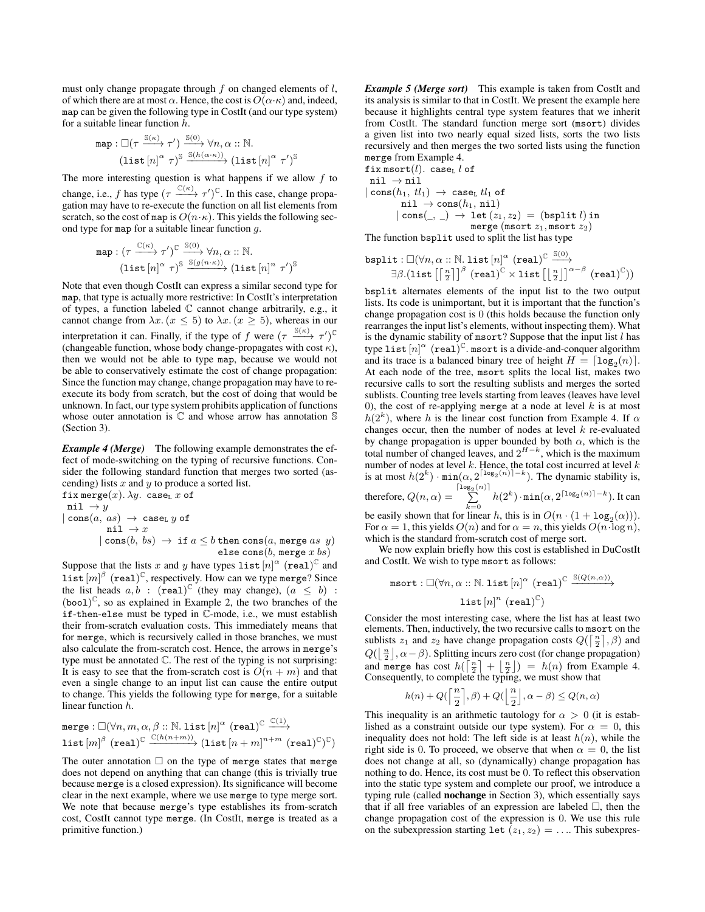must only change propagate through  $f$  on changed elements of  $l$ , of which there are at most  $\alpha$ . Hence, the cost is  $O(\alpha \cdot \kappa)$  and, indeed, map can be given the following type in CostIt (and our type system) for a suitable linear function h.

map: 
$$
\Box(\tau \xrightarrow{\mathbb{S}(\kappa)} \tau') \xrightarrow{\mathbb{S}(0)} \forall n, \alpha : \mathbb{N}.
$$
  
(list  $[n]^{\alpha} \tau$ ) <sup>$\mathbb{S}$</sup>   $\xrightarrow{\mathbb{S}(h(\alpha \cdot \kappa))} (\text{list } [n]^{\alpha} \tau')^{\mathbb{S}}$ 

The more interesting question is what happens if we allow  $f$  to change, i.e., f has type  $(\tau \xrightarrow{C(\kappa)} \tau')^{\mathbb{C}}$ . In this case, change propagation may have to re-execute the function on all list elements from scratch, so the cost of map is  $O(n \cdot \kappa)$ . This yields the following second type for map for a suitable linear function  $g$ .

map : 
$$
(\tau \xrightarrow{\mathbb{C}(\kappa)} \tau')^{\mathbb{C}} \xrightarrow{\mathbb{S}(0)} \forall n, \alpha :: \mathbb{N}.
$$
  
(list  $[n]^{\alpha} \tau)^{\mathbb{S}} \xrightarrow{\mathbb{S}(g(n \cdot \kappa))} (\text{list } [n]^n \tau')^{\mathbb{S}}$ 

Note that even though CostIt can express a similar second type for map, that type is actually more restrictive: In CostIt's interpretation of types, a function labeled  $\mathbb C$  cannot change arbitrarily, e.g., it cannot change from  $\lambda x. (x \le 5)$  to  $\lambda x. (x \ge 5)$ , whereas in our interpretation it can. Finally, if the type of f were  $(\tau \xrightarrow{\mathbb{S}(\kappa)} \tau')^{\mathbb{C}}$ (changeable function, whose body change-propagates with cost  $\kappa$ ), then we would not be able to type map, because we would not be able to conservatively estimate the cost of change propagation: Since the function may change, change propagation may have to reexecute its body from scratch, but the cost of doing that would be unknown. In fact, our type system prohibits application of functions whose outer annotation is  $\mathbb C$  and whose arrow has annotation  $\mathbb S$ (Section 3).

*Example 4 (Merge)* The following example demonstrates the effect of mode-switching on the typing of recursive functions. Consider the following standard function that merges two sorted (ascending) lists  $x$  and  $y$  to produce a sorted list.

fix merge $(x)$ .  $\lambda y$ . case<sub>L</sub> x of nil  $\rightarrow y$  $| \text{cons}(a, as) \rightarrow \text{caseL } y \text{ of }$ nil  $\rightarrow x$  $|\text{ cons}(b, bs) \to \text{ if } a \leq b \text{ then } \text{cons}(a, \text{ merge } as \text{ y})$ else cons $(b, \text{merge } x \text{ } bs)$ 

Suppose that the lists x and y have types list  $[n]^\alpha$  (real)<sup>C</sup> and list  $[m]^{\beta}$  (real)<sup>C</sup>, respectively. How can we type merge? Since the list heads  $a, b$ : (real)<sup>C</sup> (they may change),  $(a \leq b)$ :  $(bool)^{\mathbb{C}}$ , so as explained in Example 2, the two branches of the if-then-else must be typed in C-mode, i.e., we must establish their from-scratch evaluation costs. This immediately means that for merge, which is recursively called in those branches, we must also calculate the from-scratch cost. Hence, the arrows in merge's type must be annotated C. The rest of the typing is not surprising: It is easy to see that the from-scratch cost is  $O(n + m)$  and that even a single change to an input list can cause the entire output to change. This yields the following type for merge, for a suitable linear function h.

$$
\begin{aligned} & \texttt{merge} : \Box (\forall n, m, \alpha, \beta :: \mathbb{N}.\ \texttt{list}\ [n]^\alpha \ (\texttt{real})^\mathbb{C} \xrightarrow{\mathbb{C}(1)} \\ & \texttt{list}\ [m]^\beta \ (\texttt{real})^\mathbb{C} \xrightarrow{\mathbb{C}(h(n+m))} (\texttt{list}\ [n+m]^{n+m} \ (\texttt{real})^\mathbb{C})^\mathbb{C}) \end{aligned}
$$

 $C(1)$ 

The outer annotation  $\Box$  on the type of merge states that merge does not depend on anything that can change (this is trivially true because merge is a closed expression). Its significance will become clear in the next example, where we use merge to type merge sort. We note that because merge's type establishes its from-scratch cost, CostIt cannot type merge. (In CostIt, merge is treated as a primitive function.)

*Example 5 (Merge sort)* This example is taken from CostIt and its analysis is similar to that in CostIt. We present the example here because it highlights central type system features that we inherit from CostIt. The standard function merge sort (msort) divides a given list into two nearly equal sized lists, sorts the two lists recursively and then merges the two sorted lists using the function merge from Example 4.

$$
\begin{array}{l} \texttt{fix~msort}(l).~ \texttt{case}_{\texttt{L}}~l~ \texttt{of} \\ \texttt{nil}~\rightarrow \texttt{nil} \\ |\cos(h_1,~l_1)~\rightarrow~ \texttt{case}_{\texttt{L}}~l l_1~ \texttt{of} \\ \texttt{nil}~\rightarrow \texttt{cons}(h_1,~ \texttt{nil}) \\ |\hspace{0.5mm} \texttt{cons}(\_,~\_)~\rightarrow~ \texttt{let}~(z_1,z_2)~=~ \texttt{(bsplit}~l)~ \texttt{in} \\ \texttt{merge}~ (\texttt{msort}~z_1, \texttt{msort}~z_2) \end{array}
$$

The function bsplit used to split the list has type

$$
\begin{array}{ll}\texttt{bsplit} : \Box(\forall n, \alpha::\mathbb{N}.\,\texttt{list}\,[n]^\alpha \;(\texttt{real})^\mathbb{C} \xrightarrow{\mathbb{S}(0)}\\ \exists \beta. (\texttt{list}\left[\left\lceil\tfrac{n}{2}\right\rceil\right]^\beta \;(\texttt{real})^\mathbb{C} \times \texttt{list}\left[\left\lfloor\tfrac{n}{2}\right\rfloor\right]^{\alpha-\beta} \;(\texttt{real})^\mathbb{C}))\end{array}
$$

bsplit alternates elements of the input list to the two output lists. Its code is unimportant, but it is important that the function's change propagation cost is 0 (this holds because the function only rearranges the input list's elements, without inspecting them). What is the dynamic stability of msort? Suppose that the input list  $l$  has type list  $[n]^\alpha$  (real)<sup>C</sup> msort is a divide-and-conquer algorithm and its trace is a balanced binary tree of height  $H = \lceil \log_2(n) \rceil$ . At each node of the tree, msort splits the local list, makes two recursive calls to sort the resulting sublists and merges the sorted sublists. Counting tree levels starting from leaves (leaves have level 0), the cost of re-applying merge at a node at level  $k$  is at most  $h(2<sup>k</sup>)$ , where h is the linear cost function from Example 4. If  $\alpha$ changes occur, then the number of nodes at level  $k$  re-evaluated by change propagation is upper bounded by both  $\alpha$ , which is the total number of changed leaves, and  $2^{H-k}$ , which is the maximum number of nodes at level  $k$ . Hence, the total cost incurred at level  $k$ is at most  $h(2^k) \cdot \min(\alpha, 2^{\lceil \log_2(n) \rceil - k})$ . The dynamic stability is, therefore,  $Q(n, \alpha) = \sum_{n=1}^{\lceil \log_2(n) \rceil}$  $\sum_{k=0}^{\infty} h(2^k) \cdot \min(\alpha, 2^{\lceil \log_2(n) \rceil - k})$ . It can be easily shown that for linear h, this is in  $O(n \cdot (1 + \log_2(\alpha)))$ .

For  $\alpha = 1$ , this yields  $O(n)$  and for  $\alpha = n$ , this yields  $O(n \cdot \log n)$ , which is the standard from-scratch cost of merge sort.

We now explain briefly how this cost is established in DuCostIt and CostIt. We wish to type msort as follows:

$$
\texttt{msort}: \Box(\forall n, \alpha::\mathbb{N}.\ \texttt{list}\ [n]^\alpha\ (\texttt{real})^\mathbb{C} \xrightarrow{\mathbb{S}(Q(n,\alpha))} \\\ \texttt{list}\ [n]^n\ (\texttt{real})^\mathbb{C})
$$

Consider the most interesting case, where the list has at least two elements. Then, inductively, the two recursive calls to msort on the sublists  $z_1$  and  $z_2$  have change propagation costs  $Q(\lceil \frac{n}{2} \rceil, \beta)$  and  $Q(\left\lfloor \frac{n}{2} \right\rfloor, \alpha - \beta)$ . Splitting incurs zero cost (for change propagation) and merge has cost  $h(\lceil \frac{n}{2} \rceil + \lfloor \frac{n}{2} \rfloor) = h(n)$  from Example 4. Consequently, to complete the typing, we must show that

$$
h(n) + Q\left(\left\lceil \frac{n}{2} \right\rceil, \beta\right) + Q\left(\left\lfloor \frac{n}{2} \right\rfloor, \alpha - \beta\right) \le Q(n, \alpha)
$$

This inequality is an arithmetic tautology for  $\alpha > 0$  (it is established as a constraint outside our type system). For  $\alpha = 0$ , this inequality does not hold: The left side is at least  $h(n)$ , while the right side is 0. To proceed, we observe that when  $\alpha = 0$ , the list does not change at all, so (dynamically) change propagation has nothing to do. Hence, its cost must be 0. To reflect this observation into the static type system and complete our proof, we introduce a typing rule (called nochange in Section 3), which essentially says that if all free variables of an expression are labeled  $\Box$ , then the change propagation cost of the expression is 0. We use this rule on the subexpression starting let  $(z_1, z_2) = \ldots$  This subexpres-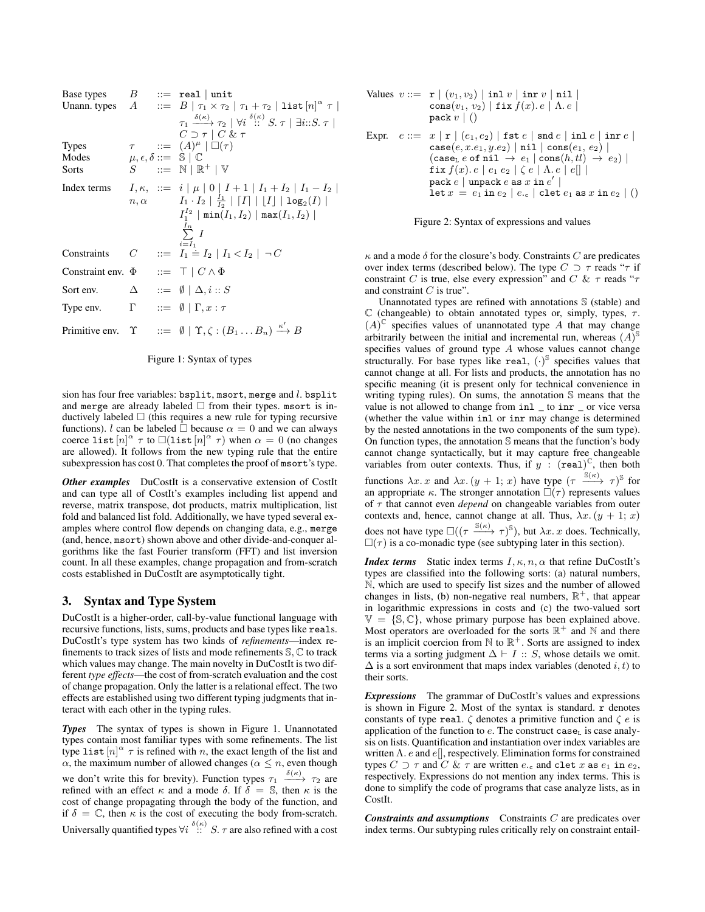| Base types $B ::= \text{real} \mid \text{unit}$     |             |                                                                                                                                                                                                                                                                                  |
|-----------------------------------------------------|-------------|----------------------------------------------------------------------------------------------------------------------------------------------------------------------------------------------------------------------------------------------------------------------------------|
|                                                     |             | Unann. types $A$ ::= $B   \tau_1 \times \tau_2   \tau_1 + \tau_2  $ list $[n]^\alpha \tau$                                                                                                                                                                                       |
|                                                     |             | $\tau_1 \xrightarrow{\delta(\kappa)} \tau_2 \mid \forall i \stackrel{\delta(\kappa)}{\therefore} S. \tau \mid \exists i \colon S. \tau \mid$<br>$C \supset \tau \mid C \& \tau$                                                                                                  |
| <b>Types</b>                                        |             | $\tau$ ::= $(A)^{\mu}$ $\Box(\tau)$                                                                                                                                                                                                                                              |
| Modes                                               |             | $\mu, \epsilon, \delta ::= \mathbb{S} \mid \mathbb{C}$                                                                                                                                                                                                                           |
| Sorts                                               |             | $S$ ::= $N \mid \mathbb{R}^+ \mid V$                                                                                                                                                                                                                                             |
| Index terms                                         | $n, \alpha$ | $I, \kappa$ , ::= $i   \mu   0   I + 1   I_1 + I_2   I_1 - I_2  $<br>$ I_1 \cdot I_2 $ $\frac{I_1}{I_2}$ $\mid$ $\lceil I \rceil$ $\mid$ $\lfloor I \rfloor$ $\mid$ $\log_2(I)$ $\mid$<br>$I_1^{I_2}$   min $(I_1,I_2)$   max $(I_1,I_2)$  <br>$\sum_{i=1}^{I_n} I$<br>$i = I_1$ |
| Constraints                                         |             | $C$ ::= $I_1 \doteq I_2   I_1 < I_2   \neg C$                                                                                                                                                                                                                                    |
| Constraint env. $\Phi$ ::= $\top$   $C \wedge \Phi$ |             |                                                                                                                                                                                                                                                                                  |
| Sort env.                                           |             | $\Delta$ ::= $\emptyset \mid \Delta, i :: S$                                                                                                                                                                                                                                     |
| Type env.                                           |             | $\Gamma$ ::= $\emptyset$   $\Gamma, x : \tau$                                                                                                                                                                                                                                    |
|                                                     |             | Primitive env. $\Upsilon$ ::= $\emptyset$   $\Upsilon, \zeta : (B_1 \dots B_n) \xrightarrow{\kappa'} B$                                                                                                                                                                          |



sion has four free variables: bsplit, msort, merge and l. bsplit and merge are already labeled  $\Box$  from their types. msort is inductively labeled  $\Box$  (this requires a new rule for typing recursive functions). l can be labeled  $\Box$  because  $\alpha = 0$  and we can always coerce list  $[n]^\alpha \tau$  to  $\square$ (list  $[n]^\alpha \tau$ ) when  $\alpha = 0$  (no changes are allowed). It follows from the new typing rule that the entire subexpression has cost 0. That completes the proof of msort's type.

*Other examples* DuCostIt is a conservative extension of CostIt and can type all of CostIt's examples including list append and reverse, matrix transpose, dot products, matrix multiplication, list fold and balanced list fold. Additionally, we have typed several examples where control flow depends on changing data, e.g., merge (and, hence, msort) shown above and other divide-and-conquer algorithms like the fast Fourier transform (FFT) and list inversion count. In all these examples, change propagation and from-scratch costs established in DuCostIt are asymptotically tight.

# 3. Syntax and Type System

DuCostIt is a higher-order, call-by-value functional language with recursive functions, lists, sums, products and base types like reals. DuCostIt's type system has two kinds of *refinements*—index refinements to track sizes of lists and mode refinements S, C to track which values may change. The main novelty in DuCostIt is two different *type effects*—the cost of from-scratch evaluation and the cost of change propagation. Only the latter is a relational effect. The two effects are established using two different typing judgments that interact with each other in the typing rules.

*Types* The syntax of types is shown in Figure 1. Unannotated types contain most familiar types with some refinements. The list type list  $[n]^\alpha \tau$  is refined with n, the exact length of the list and  $\alpha$ , the maximum number of allowed changes ( $\alpha \leq n$ , even though we don't write this for brevity). Function types  $\tau_1 \xrightarrow{\delta(\kappa)} \tau_2$  are refined with an effect  $\kappa$  and a mode  $\delta$ . If  $\delta = \mathbb{S}$ , then  $\kappa$  is the cost of change propagating through the body of the function, and if  $\delta = \mathbb{C}$ , then  $\kappa$  is the cost of executing the body from-scratch. Universally quantified types  $\forall i \stackrel{\delta(\kappa)}{\dots} S$ .  $\tau$  are also refined with a cost

Values 
$$
v ::= \mathbf{r} | (v_1, v_2) | \text{inl } v | \text{inr } v | \text{nil } | \text{cons}(v_1, v_2) | \text{fix } f(x). e | \text{A} . e | \text{pack } v | ()
$$

Expr.  $e ::= x | r | (e_1, e_2) | \text{fst } e | \text{snd } e | \text{inl } e | \text{inr } e |$  $case(e, x.e_1, y.e_2) | nil | cons(e_1, e_2) |$  $(\texttt{case}_\texttt{L}~e~\texttt{of}~\texttt{nil}~\rightarrow~e_1 \mid \texttt{cons}(h, tl)~\rightarrow~e_2) \mid$ fix  $f(x)$ .  $e | e_1 e_2 | \zeta e | \Lambda e | e$ [] |  $\mathtt{pack}\ e\ |\ \mathtt{unpack}\ e\ \mathtt{as}\ x\ \mathtt{in}\ e'\ |$ let  $x = e_1$  in  $e_2 \mid e_c \mid$  clet  $e_1$  as  $x$  in  $e_2 \mid$  ()



 $\kappa$  and a mode  $\delta$  for the closure's body. Constraints C are predicates over index terms (described below). The type  $C \supset \tau$  reads " $\tau$  if constraint C is true, else every expression" and C &  $\tau$  reads " $\tau$ and constraint  $C$  is true".

Unannotated types are refined with annotations S (stable) and C (changeable) to obtain annotated types or, simply, types,  $\tau$ .  $(A)^\mathbb{C}$  specifies values of unannotated type A that may change arbitrarily between the initial and incremental run, whereas  $(A)^\mathcal{S}$ specifies values of ground type  $A$  whose values cannot change structurally. For base types like real,  $(\cdot)^\text{s}$  specifies values that cannot change at all. For lists and products, the annotation has no specific meaning (it is present only for technical convenience in writing typing rules). On sums, the annotation S means that the value is not allowed to change from inl \_ to inr \_ or vice versa (whether the value within inl or inr may change is determined by the nested annotations in the two components of the sum type). On function types, the annotation S means that the function's body cannot change syntactically, but it may capture free changeable variables from outer contexts. Thus, if  $y$ : (real)<sup>C</sup>, then both functions  $\lambda x \cdot x$  and  $\lambda x \cdot (y + 1; x)$  have type  $(\tau \xrightarrow{\mathbb{S}(\kappa)} \tau)^{\mathbb{S}}$  for an appropriate  $\kappa$ . The stronger annotation  $\square(\tau)$  represents values of  $\tau$  that cannot even *depend* on changeable variables from outer contexts and, hence, cannot change at all. Thus,  $\lambda x. (y + 1; x)$ does not have type  $\square((\tau \xrightarrow{\S(\kappa)} \tau)^\S)$ , but  $\lambda x. x$  does. Technically,  $\square(\tau)$  is a co-monadic type (see subtyping later in this section).

*Index terms* Static index terms  $I, \kappa, n, \alpha$  that refine DuCostIt's types are classified into the following sorts: (a) natural numbers, N, which are used to specify list sizes and the number of allowed changes in lists, (b) non-negative real numbers,  $\mathbb{R}^+$ , that appear in logarithmic expressions in costs and (c) the two-valued sort  $V = \{S, \mathbb{C}\}\$ , whose primary purpose has been explained above. Most operators are overloaded for the sorts  $\mathbb{R}^+$  and  $\mathbb N$  and there is an implicit coercion from  $\mathbb N$  to  $\mathbb R^+$ . Sorts are assigned to index terms via a sorting judgment  $\Delta \vdash I :: S$ , whose details we omit.  $\Delta$  is a sort environment that maps index variables (denoted i, t) to their sorts.

*Expressions* The grammar of DuCostIt's values and expressions is shown in Figure 2. Most of the syntax is standard.  $r$  denotes constants of type real.  $\zeta$  denotes a primitive function and  $\zeta e$  is application of the function to  $e$ . The construct case<sub>L</sub> is case analysis on lists. Quantification and instantiation over index variables are written  $\Lambda$ . e and  $e[$ ], respectively. Elimination forms for constrained types  $C \supset \tau$  and  $C \& \tau$  are written  $e_{\tau}$  and clet  $x$  as  $e_1$  in  $e_2$ , respectively. Expressions do not mention any index terms. This is done to simplify the code of programs that case analyze lists, as in CostIt.

*Constraints and assumptions* Constraints C are predicates over index terms. Our subtyping rules critically rely on constraint entail-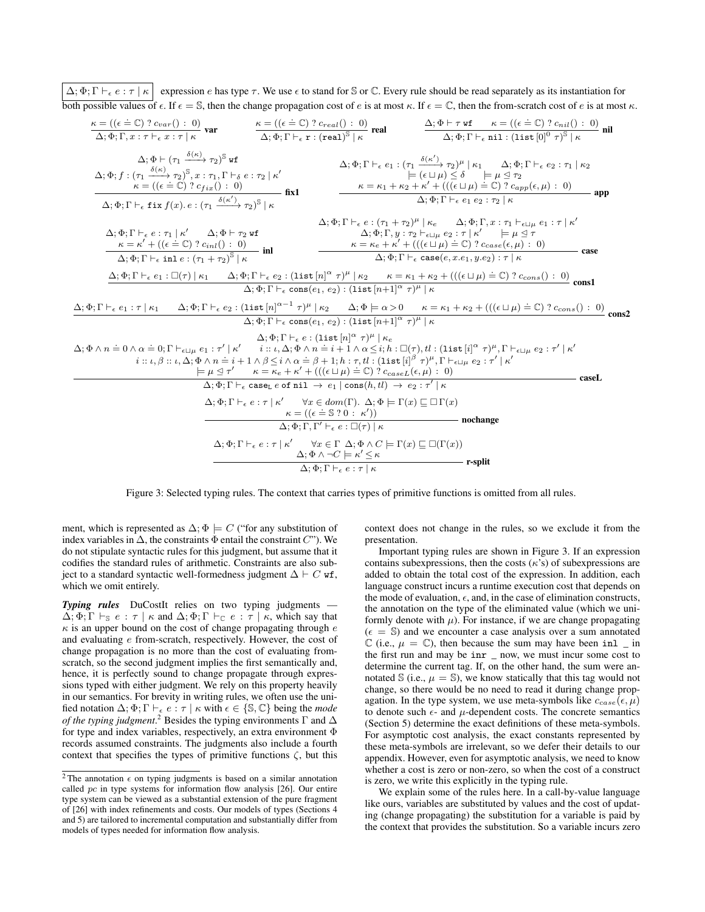$\Delta$ ;  $\Phi$ ;  $\Gamma \vdash_{\epsilon} e : \tau \upharpoonright \kappa$  expression e has type  $\tau$ . We use  $\epsilon$  to stand for S or C. Every rule should be read separately as its instantiation for both possible values of  $\epsilon$ . If  $\epsilon = \mathbb{S}$ , then the change propagation cost of e is at most  $\kappa$ . If  $\epsilon = \mathbb{C}$ , then the from-scratch cost of e is at most  $\kappa$ .

| $\frac{\Delta; \Phi \vdash \tau \text{ wf } \kappa = ((\epsilon \doteq \mathbb{C}) ? c_{nil}() : 0)}{\Delta; \Phi; \Gamma \vdash_{\epsilon} \text{nil} : (\text{list } [0]^0 \tau)^{\mathbb{S}} \mid \kappa}$ nil<br>$\frac{\kappa = ((\epsilon = \mathbb{C}) ? c_{var}() : 0)}{\Delta; \Phi; \Gamma, x : \tau \vdash_{\epsilon} x : \tau \mid \kappa} \text{ var} \qquad \frac{\kappa = ((\epsilon = \mathbb{C}) ? c_{real}( ) : 0 )}{\Delta; \Phi; \Gamma \vdash_{\epsilon} x : (real)^{\mathbb{S}} \mid \kappa} \text{ real}$                                                                                                                                                                                                                                                                                                                                                                                                                                                |       |
|---------------------------------------------------------------------------------------------------------------------------------------------------------------------------------------------------------------------------------------------------------------------------------------------------------------------------------------------------------------------------------------------------------------------------------------------------------------------------------------------------------------------------------------------------------------------------------------------------------------------------------------------------------------------------------------------------------------------------------------------------------------------------------------------------------------------------------------------------------------------------------------------------------------------------------------------------------------------------------|-------|
| $\Delta$ ; $\Phi$ $\vdash$ $(\tau_1 \xrightarrow{\delta(\kappa)} \tau_2)^\mathbb{S}$ wf<br>$\Delta; \Phi; \Gamma \vdash_{\epsilon} e_1 : (\tau_1 \xrightarrow{\delta(\kappa')} \tau_2)^{\mu}   \kappa_1 \Delta; \Phi; \Gamma \vdash_{\epsilon} e_2 : \tau_1   \kappa_2$<br>$\Delta; \Phi; f : (\tau_1 \xrightarrow{\delta(\kappa)} \tau_2)^{\mathbb{S}}, x : \tau_1, \Gamma \vdash_{\delta} e : \tau_2 \mid \kappa'$<br>$\models (\epsilon \sqcup \mu) \leq \delta \qquad \models \mu \trianglelefteq \tau_2$<br>$\kappa = \kappa_1 + \kappa_2 + \kappa' + ((\overline{\epsilon} \sqcup \mu) = \mathbb{C})$ ? $c_{app}(\epsilon, \mu) = 0$<br>$\kappa = ((\epsilon \doteq \mathbb{C}) ? c_{fix}(): 0)$<br>$\frac{1}{\text{fix1}}$<br>$\Delta$ : $\Phi$ : $\Gamma$ $\vdash$ <sub>e</sub> $e_1$ $e_2$ : $\tau_2$ $\mid$ $\kappa$<br>$\Delta; \Phi; \Gamma \vdash_{\epsilon} \text{fix } f(x) \ldotp e : (\tau_1 \xrightarrow{\delta(\kappa')} \tau_2)^{\mathbb{S}} \vdash \kappa$ | app   |
| $\Delta; \Phi; \Gamma \vdash_{\epsilon} e : (\tau_1 + \tau_2)^{\mu} \mid \kappa_e \qquad \Delta; \Phi; \Gamma, x : \tau_1 \vdash_{\epsilon \sqcup \mu} e_1 : \tau \mid \kappa'$<br>$\Delta; \Phi; \Gamma, y : \tau_2 \vdash_{\epsilon \sqcup \mu} e_2 : \tau \upharpoonright \kappa' \qquad \models \mu \trianglelefteq \tau$<br>$\Delta$ ; $\Phi$ ; $\Gamma \vdash_{\epsilon} e : \tau_1 \mid \kappa'$ $\Delta$ ; $\Phi \vdash \tau_2$ wf<br>$\kappa = \kappa_e + \kappa' + (((\epsilon \sqcup \mu) \doteq \mathbb{C}) ? c_{case}(\epsilon, \mu) : 0)$<br>$\kappa = \kappa' + ((\epsilon = \mathbb{C}) ? c_{inl}(): 0)$<br>$\Delta; \Phi; \Gamma \vdash_{\epsilon} \text{inl } e : (\tau_1 + \tau_2)^{\mathbb{S}} \mid \kappa$ inl<br>$\Delta$ ; $\Phi$ ; $\Gamma \vdash_{\epsilon} \text{case}(e, x.e_1, y.e_2) : \tau \vdash \kappa$                                                                                                                                         | case  |
| $\Delta; \Phi; \Gamma \vdash_{\epsilon} e_1 : \Box(\tau) \mid \kappa_1 \qquad \Delta; \Phi; \Gamma \vdash_{\epsilon} e_2 : (\text{list } [n]^{\alpha} \tau)^{\mu} \mid \kappa_2 \qquad \kappa = \kappa_1 + \kappa_2 + (((\epsilon \sqcup \mu) \doteq \mathbb{C}) ? c_{cons}() : 0)$<br>$\Delta; \Phi; \Gamma \vdash_{\epsilon} \text{cons}(e_1, e_2) : (\text{list } [n+1]^{\alpha} \tau)^{\mu} \vdash \kappa$<br>$\Delta; \Phi; \Gamma \vdash_{\epsilon} e_1 : \tau \mid \kappa_1$ $\Delta; \Phi; \Gamma \vdash_{\epsilon} e_2 : (\text{list} [n]^{\alpha-1} \tau)^{\mu} \mid \kappa_2$ $\Delta; \Phi \models \alpha > 0$ $\kappa = \kappa_1 + \kappa_2 + (((\epsilon \sqcup \mu) \doteq \mathbb{C}) ? c_{cons}() : 0)$ cons2                                                                                                                                                                                                                                                  |       |
| $\Delta$ : $\Phi$ : $\Gamma \vdash_{\epsilon} \text{cons}(e_1, e_2)$ : (list $[n+1]^{\alpha} \tau$ ) <sup><math>\mu \mid \kappa</math></sup><br>$\Delta; \Phi; \Gamma \vdash_{\epsilon} e : (\mathtt{list}\left[n\right]^{\alpha} \tau)^{\mu} \mid \kappa_{e})$<br>$\Delta;\Phi\wedge n=0\wedge\alpha=0;$ $\Gamma\vdash_{\epsilon\sqcup\mu}e_1:\tau'\mid\kappa' \qquad i::\iota,\Delta;\Phi\wedge n=i+1\wedge\alpha\leq i;$ $h:\Box(\tau),$ $tl:($ $\mathrm{list}\ [i]^\alpha\ \tau)^\mu,$ $\Gamma\vdash_{\epsilon\sqcup\mu}e_2:\tau'\mid\kappa'\neq 0$<br>$i: \iota, \beta: \iota, \Delta, \Phi \wedge n = i + 1 \wedge \beta \leq i \wedge \alpha = \beta + 1; h: \tau, tl: (\text{list } [i]^{\beta} \tau)^{\mu}, \Gamma \vdash_{\epsilon \sqcup u} e_2 : \tau' \mid \kappa'$<br>$\models \mu \triangleleft \tau'$ $\kappa = \kappa_e + \kappa' + (((\epsilon \sqcup \mu) \doteq \mathbb{C}) ? c_{caseL}(\epsilon, \mu) : 0)$                                                |       |
| $\Delta; \Phi; \Gamma \vdash_{\epsilon} \text{caseL } e \text{ of nil } \rightarrow e_1 \mid \text{cons}(h, tl) \rightarrow e_2 : \tau' \mid \kappa$<br>$\Delta; \Phi; \Gamma \vdash_{\epsilon} e : \tau \mid \kappa'$ $\forall x \in dom(\Gamma).$ $\Delta; \Phi \models \Gamma(x) \sqsubseteq \Box \Gamma(x)$<br>$\kappa = ((\epsilon = \mathbb{S} ? 0 : \kappa'))$<br>— nochange<br>$\Delta$ : $\Phi$ : $\Gamma$ , $\Gamma' \vdash_{\epsilon} e$ : $\Box(\tau) \vdash_{\kappa}$                                                                                                                                                                                                                                                                                                                                                                                                                                                                                              | caseL |
| $\Delta; \Phi; \Gamma \vdash_{\epsilon} e : \tau \mid \kappa' \qquad \forall x \in \Gamma \ \Delta; \Phi \wedge C \models \Gamma(x) \sqsubseteq \Box(\Gamma(x))$<br>$\Delta$ : $\Phi \wedge \neg C \models \kappa' \leq \kappa$<br>– r-split<br>$\Delta$ : $\Phi$ : $\Gamma \vdash_{\epsilon} e : \tau \mid \kappa$                                                                                                                                                                                                                                                                                                                                                                                                                                                                                                                                                                                                                                                             |       |

Figure 3: Selected typing rules. The context that carries types of primitive functions is omitted from all rules.

ment, which is represented as  $\Delta$ ;  $\Phi \models C$  ("for any substitution of index variables in  $\Delta$ , the constraints  $\Phi$  entail the constraint  $C$ "). We do not stipulate syntactic rules for this judgment, but assume that it codifies the standard rules of arithmetic. Constraints are also subject to a standard syntactic well-formedness judgment  $\Delta \vdash C$  wf, which we omit entirely.

**Typing rules** DuCostIt relies on two typing judgments —  $\Delta; \Phi; \Gamma \vdash_{\mathbb{S}} e : \tau \mid \kappa$  and  $\Delta; \Phi; \Gamma \vdash_{\mathbb{C}} e : \tau \mid \kappa$ , which say that  $\kappa$  is an upper bound on the cost of change propagating through  $e$ and evaluating e from-scratch, respectively. However, the cost of change propagation is no more than the cost of evaluating fromscratch, so the second judgment implies the first semantically and, hence, it is perfectly sound to change propagate through expressions typed with either judgment. We rely on this property heavily in our semantics. For brevity in writing rules, we often use the unified notation  $\Delta; \Phi; \Gamma \vdash_{\epsilon} e : \tau \mid \kappa$  with  $\epsilon \in \{\mathbb{S}, \mathbb{C}\}\)$  being the *mode of the typing judgment.*<sup>2</sup> Besides the typing environments  $\Gamma$  and  $\Delta$ for type and index variables, respectively, an extra environment Φ records assumed constraints. The judgments also include a fourth context that specifies the types of primitive functions  $\zeta$ , but this

context does not change in the rules, so we exclude it from the presentation.

Important typing rules are shown in Figure 3. If an expression contains subexpressions, then the costs  $(\kappa's)$  of subexpressions are added to obtain the total cost of the expression. In addition, each language construct incurs a runtime execution cost that depends on the mode of evaluation,  $\epsilon$ , and, in the case of elimination constructs, the annotation on the type of the eliminated value (which we uniformly denote with  $\mu$ ). For instance, if we are change propagating  $(\epsilon = \mathbb{S})$  and we encounter a case analysis over a sum annotated  $\mathbb C$  (i.e.,  $\mu = \mathbb C$ ), then because the sum may have been inl  $\Box$  in the first run and may be inr \_ now, we must incur some cost to determine the current tag. If, on the other hand, the sum were annotated  $\Im$  (i.e.,  $\mu = \Im$ ), we know statically that this tag would not change, so there would be no need to read it during change propagation. In the type system, we use meta-symbols like  $c_{case}(\epsilon, \mu)$ to denote such  $\epsilon$ - and  $\mu$ -dependent costs. The concrete semantics (Section 5) determine the exact definitions of these meta-symbols. For asymptotic cost analysis, the exact constants represented by these meta-symbols are irrelevant, so we defer their details to our appendix. However, even for asymptotic analysis, we need to know whether a cost is zero or non-zero, so when the cost of a construct is zero, we write this explicitly in the typing rule.

We explain some of the rules here. In a call-by-value language like ours, variables are substituted by values and the cost of updating (change propagating) the substitution for a variable is paid by the context that provides the substitution. So a variable incurs zero

<sup>&</sup>lt;sup>2</sup> The annotation  $\epsilon$  on typing judgments is based on a similar annotation called pc in type systems for information flow analysis [26]. Our entire type system can be viewed as a substantial extension of the pure fragment of [26] with index refinements and costs. Our models of types (Sections 4 and 5) are tailored to incremental computation and substantially differ from models of types needed for information flow analysis.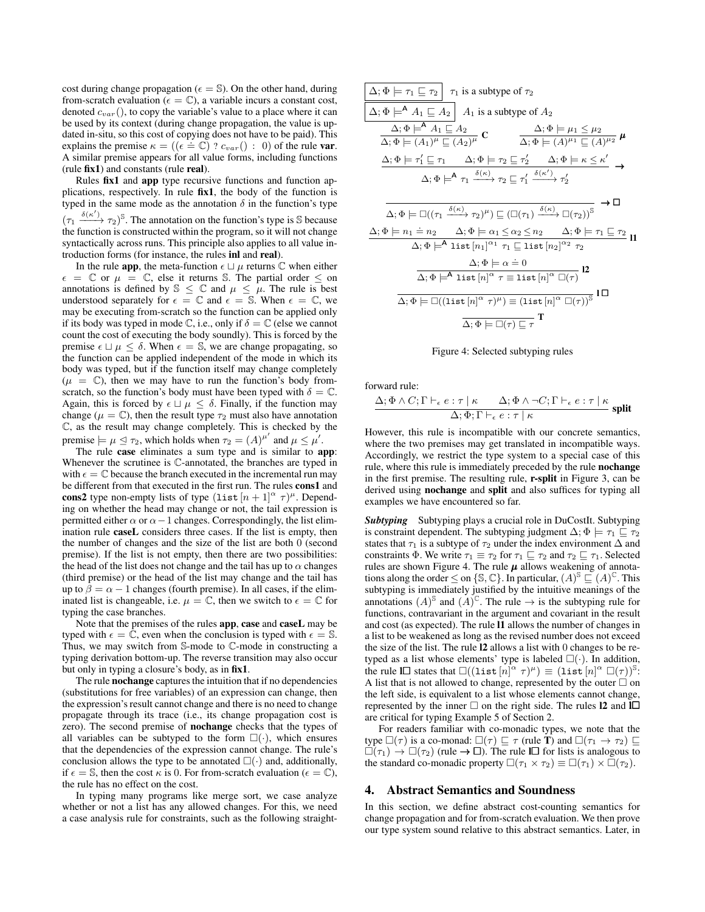cost during change propagation ( $\epsilon = \mathbb{S}$ ). On the other hand, during from-scratch evaluation ( $\epsilon = \mathbb{C}$ ), a variable incurs a constant cost, denoted  $c_{var}$ (), to copy the variable's value to a place where it can be used by its context (during change propagation, the value is updated in-situ, so this cost of copying does not have to be paid). This explains the premise  $\kappa = ((\epsilon = \mathbb{C}) ? c_{var}() : 0)$  of the rule **var.** A similar premise appears for all value forms, including functions (rule fix1) and constants (rule real).

Rules fix1 and app type recursive functions and function applications, respectively. In rule fix1, the body of the function is typed in the same mode as the annotation  $\delta$  in the function's type  $(\tau_1 \xrightarrow{\delta(\kappa')} \tau_2)^\mathbb{S}$ . The annotation on the function's type is S because the function is constructed within the program, so it will not change syntactically across runs. This principle also applies to all value introduction forms (for instance, the rules inl and real).

In the rule **app**, the meta-function  $\epsilon \sqcup \mu$  returns  $\mathbb C$  when either  $\epsilon = \mathbb{C}$  or  $\mu = \mathbb{C}$ , else it returns S. The partial order  $\leq$  on annotations is defined by  $\mathbb{S} \leq \mathbb{C}$  and  $\mu \leq \mu$ . The rule is best understood separately for  $\epsilon = \mathbb{C}$  and  $\epsilon = \mathbb{S}$ . When  $\epsilon = \mathbb{C}$ , we may be executing from-scratch so the function can be applied only if its body was typed in mode  $\mathbb{C}$ , i.e., only if  $\delta = \mathbb{C}$  (else we cannot count the cost of executing the body soundly). This is forced by the premise  $\epsilon \sqcup \mu \leq \delta$ . When  $\epsilon = \mathbb{S}$ , we are change propagating, so the function can be applied independent of the mode in which its body was typed, but if the function itself may change completely  $(\mu = \mathbb{C})$ , then we may have to run the function's body fromscratch, so the function's body must have been typed with  $\delta = \mathbb{C}$ . Again, this is forced by  $\epsilon \sqcup \mu \leq \delta$ . Finally, if the function may change ( $\mu = \mathbb{C}$ ), then the result type  $\tau_2$  must also have annotation C, as the result may change completely. This is checked by the premise  $\models \mu \trianglelefteq \tau_2$ , which holds when  $\tau_2 = (A)^{\mu'}$  and  $\mu \le \mu'$ .

The rule case eliminates a sum type and is similar to app: Whenever the scrutinee is C-annotated, the branches are typed in with  $\epsilon = \mathbb{C}$  because the branch executed in the incremental run may be different from that executed in the first run. The rules cons1 and cons2 type non-empty lists of type  $(\text{list } [n+1]^\alpha \tau)^\mu$ . Depending on whether the head may change or not, the tail expression is permitted either  $\alpha$  or  $\alpha-1$  changes. Correspondingly, the list elimination rule caseL considers three cases. If the list is empty, then the number of changes and the size of the list are both 0 (second premise). If the list is not empty, then there are two possibilities: the head of the list does not change and the tail has up to  $\alpha$  changes (third premise) or the head of the list may change and the tail has up to  $\beta = \alpha - 1$  changes (fourth premise). In all cases, if the eliminated list is changeable, i.e.  $\mu = \mathbb{C}$ , then we switch to  $\epsilon = \mathbb{C}$  for typing the case branches.

Note that the premises of the rules app, case and caseL may be typed with  $\epsilon = \mathbb{C}$ , even when the conclusion is typed with  $\epsilon = \mathbb{S}$ . Thus, we may switch from S-mode to C-mode in constructing a typing derivation bottom-up. The reverse transition may also occur but only in typing a closure's body, as in fix1.

The rule **nochange** captures the intuition that if no dependencies (substitutions for free variables) of an expression can change, then the expression's result cannot change and there is no need to change propagate through its trace (i.e., its change propagation cost is zero). The second premise of nochange checks that the types of all variables can be subtyped to the form  $\square(\cdot)$ , which ensures that the dependencies of the expression cannot change. The rule's conclusion allows the type to be annotated  $\square(\cdot)$  and, additionally, if  $\epsilon = \mathbb{S}$ , then the cost  $\kappa$  is 0. For from-scratch evaluation ( $\epsilon = \mathbb{C}$ ), the rule has no effect on the cost.

In typing many programs like merge sort, we case analyze whether or not a list has any allowed changes. For this, we need a case analysis rule for constraints, such as the following straight-

| $\Delta$ ; $\Phi \models \tau_1 \sqsubseteq \tau_2 \mid \tau_1$ is a subtype of $\tau_2$                                                                                                                                                                                                         |
|--------------------------------------------------------------------------------------------------------------------------------------------------------------------------------------------------------------------------------------------------------------------------------------------------|
| $\Delta; \Phi \models^{\mathsf{A}} A_1 \sqsubseteq A_2 \mid A_1$ is a subtype of $A_2$                                                                                                                                                                                                           |
| $\Delta$ ; $\Phi \models^{\mathsf{A}} A_1 \sqsubseteq A_2$<br>$\frac{\Delta; \Phi \models \mu_1 \leq \mu_2}{\Delta; \Phi \models (A)^{\mu_1} \sqsubseteq (A)^{\mu_2}} \mu$<br>$\frac{\Delta_1}{\Delta_1 \Phi} \equiv (A_1)^{\mu} \sqsubseteq (A_2)^{\mu} \mathbb{C}$                             |
| $\Delta; \Phi \models \tau_1' \sqsubseteq \tau_1 \qquad \Delta; \Phi \models \tau_2 \sqsubseteq \tau_2' \qquad \Delta; \Phi \models \kappa \leq \kappa' \rightarrow$                                                                                                                             |
| $\Delta; \Phi \models^{\mathsf{A}} \tau_1 \xrightarrow{\delta(\kappa)} \tau_2 \sqsubseteq \tau'_1 \xrightarrow{\delta(\kappa')} \tau'_2$                                                                                                                                                         |
| →□<br>$\Delta; \Phi \models \Box ((\tau_1 \xrightarrow{\delta(\kappa)} \tau_2)^{\mu}) \sqsubset (\Box (\tau_1) \xrightarrow{\delta(\kappa)} \Box (\tau_2))^{\mathbb{S}}$                                                                                                                         |
| $\Delta; \Phi \models n_1 \doteq n_2$ $\Delta; \Phi \models \alpha_1 \leq \alpha_2 \leq n_2$ $\Delta; \Phi \models \tau_1 \sqsubseteq \tau_2$<br>$\Delta; \Phi \models^{\mathsf{A}} \mathsf{list}\left[n_1\right]^{\alpha_1} \tau_1 \sqsubseteq \mathsf{list}\left[n_2\right]^{\alpha_2} \tau_2$ |
| $\Delta; \Phi \models \alpha = 0$<br>$\overline{\Delta;\Phi \models^{\mathsf{A}} \textsf{list}\left[ n \right]^\alpha \tau \equiv \textsf{list}\left[ n \right]^\alpha \Box(\tau)}$ 12                                                                                                           |
| $\Delta; \Phi \models \Box(\overline{(\operatorname{list}{[n]}^\alpha \ \tau)^\mu}) \equiv (\operatorname{list}{[n]}^\alpha \ \Box(\tau))^{\mathbb{S}}$ l $\Box$                                                                                                                                 |
| $\overline{\Delta; \Phi \models \Box(\tau) \sqsubset \tau}$ T                                                                                                                                                                                                                                    |



forward rule:

$$
\frac{\Delta; \Phi \wedge C; \Gamma \vdash_{\epsilon} e : \tau \mid \kappa \qquad \Delta; \Phi \wedge \neg C; \Gamma \vdash_{\epsilon} e : \tau \mid \kappa}{\Delta; \Phi; \Gamma \vdash_{\epsilon} e : \tau \mid \kappa} \text{ split}
$$

However, this rule is incompatible with our concrete semantics, where the two premises may get translated in incompatible ways. Accordingly, we restrict the type system to a special case of this rule, where this rule is immediately preceded by the rule nochange in the first premise. The resulting rule, r-split in Figure 3, can be derived using nochange and split and also suffices for typing all examples we have encountered so far.

*Subtyping* Subtyping plays a crucial role in DuCostIt. Subtyping is constraint dependent. The subtyping judgment  $\Delta$ ;  $\Phi \models \tau_1 \sqsubseteq \tau_2$ states that  $\tau_1$  is a subtype of  $\tau_2$  under the index environment  $\Delta$  and constraints  $\Phi$ . We write  $\tau_1 \equiv \tau_2$  for  $\tau_1 \sqsubseteq \tau_2$  and  $\tau_2 \sqsubseteq \tau_1$ . Selected rules are shown Figure 4. The rule  $\mu$  allows weakening of annotations along the order  $\leq$  on  $\{\mathbb{S},\mathbb{C}\}\right)$ . In particular,  $(A)^{\mathbb{S}} \sqsubseteq (A)^{\mathbb{C}}$ . This subtyping is immediately justified by the intuitive meanings of the annotations  $(A)^\mathbb{S}$  and  $(A)^\mathbb{C}$ . The rule  $\rightarrow$  is the subtyping rule for functions, contravariant in the argument and covariant in the result and cost (as expected). The rule l1 allows the number of changes in a list to be weakened as long as the revised number does not exceed the size of the list. The rule l2 allows a list with 0 changes to be retyped as a list whose elements' type is labeled  $\square(\cdot)$ . In addition, the rule  $\Box$  states that  $\Box((\text{list } [n]^{\alpha} \tau)^{\mu}) \equiv (\text{list } [n]^{\alpha} \Box(\tau))^{\otimes}$ : A list that is not allowed to change, represented by the outer  $\Box$  on the left side, is equivalent to a list whose elements cannot change, represented by the inner  $\Box$  on the right side. The rules 12 and  $\Box$ are critical for typing Example 5 of Section 2.

For readers familiar with co-monadic types, we note that the type  $\square(\tau)$  is a co-monad:  $\square(\tau) \sqsubseteq \tau$  (rule **T**) and  $\square(\tau_1 \to \tau_2) \sqsubseteq$  $\square(\tau_1) \rightarrow \square(\tau_2)$  (rule  $\rightarrow \square$ ). The rule  $\square$  for lists is analogous to the standard co-monadic property  $\Box(\tau_1 \times \tau_2) \equiv \Box(\tau_1) \times \Box(\tau_2)$ .

# 4. Abstract Semantics and Soundness

In this section, we define abstract cost-counting semantics for change propagation and for from-scratch evaluation. We then prove our type system sound relative to this abstract semantics. Later, in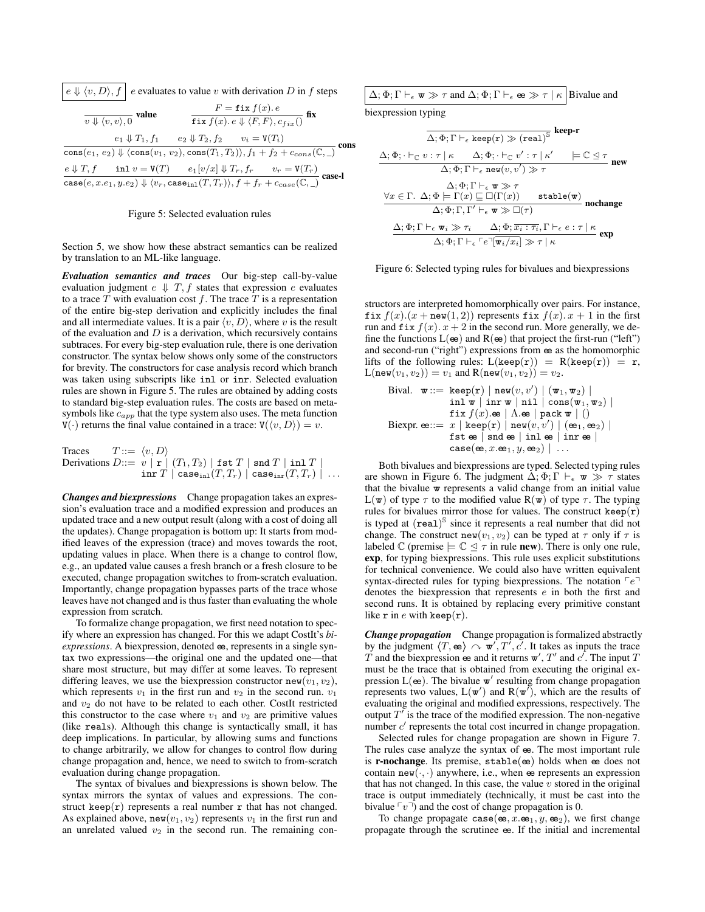|  | $\mid e \Downarrow \langle v, D \rangle, f \mid e$ evaluates to value v with derivation D in f steps |  |
|--|------------------------------------------------------------------------------------------------------|--|
|--|------------------------------------------------------------------------------------------------------|--|

| $\overline{v \Downarrow \langle v, v \rangle}$ , $\overline{0}$ value |                                                                                                                                                                                                                                                                              | $F = \text{fix } f(x) \cdot e$<br>fix $f(x) \cdot e \Downarrow \langle F, F \rangle, c_{fix}$ fix |      |
|-----------------------------------------------------------------------|------------------------------------------------------------------------------------------------------------------------------------------------------------------------------------------------------------------------------------------------------------------------------|---------------------------------------------------------------------------------------------------|------|
|                                                                       | $e_1 \Downarrow T_1, f_1 \qquad e_2 \Downarrow T_2, f_2 \qquad v_i = V(T_i)$                                                                                                                                                                                                 |                                                                                                   |      |
|                                                                       | $\frac{e_1 \psi_1 j_1}{\cos(e_1, e_2) \psi (\cos(v_1, v_2), \cos(T_1, T_2)), f_1 + f_2 + c_{cons}(\mathbb{C}, \_)}$                                                                                                                                                          |                                                                                                   | cons |
|                                                                       | $\frac{e\Downarrow T, f \quad \text{ inl } v = \mathtt{V}(T) \quad e_1[v/x]\Downarrow T_r, f_r \quad \quad v_r = \mathtt{V}(T_r)}{\texttt{case}(e, x.e_1, y.e_2)\Downarrow \langle v_r, \texttt{casein}(T, T_r)\rangle, f + f_r + c_{case}(\mathbb{C}, \_)} \texttt{case-l}$ |                                                                                                   |      |
|                                                                       |                                                                                                                                                                                                                                                                              |                                                                                                   |      |

### Figure 5: Selected evaluation rules

Section 5, we show how these abstract semantics can be realized by translation to an ML-like language.

*Evaluation semantics and traces* Our big-step call-by-value evaluation judgment  $e \Downarrow T$ , f states that expression e evaluates to a trace  $\overline{T}$  with evaluation cost  $f$ . The trace  $\overline{T}$  is a representation of the entire big-step derivation and explicitly includes the final and all intermediate values. It is a pair  $\langle v, D \rangle$ , where v is the result of the evaluation and  $D$  is a derivation, which recursively contains subtraces. For every big-step evaluation rule, there is one derivation constructor. The syntax below shows only some of the constructors for brevity. The constructors for case analysis record which branch was taken using subscripts like inl or inr. Selected evaluation rules are shown in Figure 5. The rules are obtained by adding costs to standard big-step evaluation rules. The costs are based on metasymbols like  $c_{app}$  that the type system also uses. The meta function  $V(\cdot)$  returns the final value contained in a trace:  $V(\langle v, D \rangle) = v$ .

$$
\begin{array}{ll}\text{Traces} & T ::= \langle v, D \rangle \\ \text{Derivations } D ::= \left. v \mid \mathbf{r} \right. \left| \right. \left( T_1, T_2 \right) \left. \right| \texttt{fst } T \mid \texttt{snd } T \mid \texttt{inl } T \mid \\ & \texttt{inr } T \mid \texttt{case}_{\texttt{inl}}(T, T_r) \mid \texttt{case}_{\texttt{inr}}(T, T_r) \mid \ldots \end{array}
$$

*Changes and biexpressions* Change propagation takes an expression's evaluation trace and a modified expression and produces an updated trace and a new output result (along with a cost of doing all the updates). Change propagation is bottom up: It starts from modified leaves of the expression (trace) and moves towards the root, updating values in place. When there is a change to control flow, e.g., an updated value causes a fresh branch or a fresh closure to be executed, change propagation switches to from-scratch evaluation. Importantly, change propagation bypasses parts of the trace whose leaves have not changed and is thus faster than evaluating the whole expression from scratch.

To formalize change propagation, we first need notation to specify where an expression has changed. For this we adapt CostIt's *biexpressions*. A biexpression, denoted  $\omega$ , represents in a single syntax two expressions—the original one and the updated one—that share most structure, but may differ at some leaves. To represent differing leaves, we use the biexpression constructor new( $v_1, v_2$ ), which represents  $v_1$  in the first run and  $v_2$  in the second run.  $v_1$ and  $v_2$  do not have to be related to each other. CostIt restricted this constructor to the case where  $v_1$  and  $v_2$  are primitive values (like reals). Although this change is syntactically small, it has deep implications. In particular, by allowing sums and functions to change arbitrarily, we allow for changes to control flow during change propagation and, hence, we need to switch to from-scratch evaluation during change propagation.

The syntax of bivalues and biexpressions is shown below. The syntax mirrors the syntax of values and expressions. The construct keep( $r$ ) represents a real number  $r$  that has not changed. As explained above, new( $v_1, v_2$ ) represents  $v_1$  in the first run and an unrelated valued  $v_2$  in the second run. The remaining con-

| $\Delta$ ; $\Phi$ ; $\Gamma \vdash_{\epsilon} \mathbf{w} \gg \tau$ and $\Delta$ ; $\Phi$ ; $\Gamma \vdash_{\epsilon} \mathbf{e} \gg \tau \mid \kappa$ Bivalue and |  |
|-------------------------------------------------------------------------------------------------------------------------------------------------------------------|--|
|                                                                                                                                                                   |  |

biexpression typing

$$
\frac{\Delta; \Phi; \Gamma \vdash_{\epsilon} \text{keep}(r) \gg (\text{real})^{\mathbb{S}} \text{ keep-r}}{\Delta; \Phi; \cdot \vdash_{\mathbb{C}} v : \tau \mid \kappa \quad \Delta; \Phi; \cdot \vdash_{\mathbb{C}} v' : \tau \mid \kappa' \quad \models \mathbb{C} \trianglelefteq \tau \text{ new} \\\Delta; \Phi; \Gamma \vdash_{\epsilon} \text{new}(v, v') \gg \tau \quad \Delta; \Phi; \Gamma \vdash_{\epsilon} \text{new}(v, v') \gg \tau \\\frac{\Delta; \Phi; \Gamma \vdash_{\epsilon} \Psi \gg \tau}{\Delta; \Phi; \Gamma \vdash_{\epsilon} v} \sum \Box(\Gamma(x)) \quad \text{stable}(w) \text{ nochange} \\\Delta; \Phi; \Gamma, \Gamma' \vdash_{\epsilon} \Psi \gg \Box(\tau) \\\frac{\Delta; \Phi; \Gamma \vdash_{\epsilon} \Psi_i \gg \tau_i \quad \Delta; \Phi; \overline{x_i : \tau_i}, \Gamma \vdash_{\epsilon} e : \tau \mid \kappa}{\Delta; \Phi; \Gamma \vdash_{\epsilon} \ulcorner e \urcorner [\Psi_i / x_i] \gg \tau \mid \kappa} \text{ exp}
$$

#### Figure 6: Selected typing rules for bivalues and biexpressions

structors are interpreted homomorphically over pairs. For instance, fix  $f(x)$ . $(x + new(1, 2))$  represents fix  $f(x)$ .  $x + 1$  in the first run and fix  $f(x)$ .  $x + 2$  in the second run. More generally, we define the functions  $L(\mathbf{e})$  and  $R(\mathbf{e})$  that project the first-run ("left") and second-run ("right") expressions from ee as the homomorphic lifts of the following rules:  $L(keep(r)) = R(keep(r)) = r$ ,  $L(new(v_1, v_2)) = v_1$  and  $R(new(v_1, v_2)) = v_2$ .

\nBival. 
$$
\mathbf{w} ::= \text{keep}(\mathbf{r}) \mid \text{new}(v, v') \mid (\mathbf{w}_1, \mathbf{w}_2) \mid
$$
\n $\text{inl } \mathbf{w} \mid \text{inr } \mathbf{w} \mid \text{nil} \mid \text{cons}(\mathbf{w}_1, \mathbf{w}_2) \mid$ \n $\text{fix } f(x) \cdot \text{se} \mid \Lambda \cdot \text{se} \mid \text{pack } \mathbf{w} \mid ()$ \n

\n\nBicxpr.  $\text{ee} ::= x \mid \text{keep}(\mathbf{r}) \mid \text{new}(v, v') \mid (\text{ee}_1, \text{ee}_2) \mid$ \n $\text{fst } \text{ee } \mid \text{snd } \text{ee} \mid \text{inl } \text{ee } \mid \text{inr } \text{ee} \mid$ \n $\text{case}(\text{ee}, x \cdot \text{ee}_1, y, \text{ee}_2) \mid \ldots$ \n

Both bivalues and biexpressions are typed. Selected typing rules are shown in Figure 6. The judgment  $\Delta$ ;  $\Phi$ ;  $\Gamma \vdash_{\epsilon} \mathbf{w} \gg \tau$  states that the bivalue  $\bf{w}$  represents a valid change from an initial value  $L(\mathbf{w})$  of type  $\tau$  to the modified value  $R(\mathbf{w})$  of type  $\tau$ . The typing rules for bivalues mirror those for values. The construct  $keep(r)$ is typed at  $(\text{real})^{\mathbb{S}}$  since it represents a real number that did not change. The construct new( $v_1, v_2$ ) can be typed at  $\tau$  only if  $\tau$  is labeled  $\mathbb C$  (premise  $\models \mathbb C \trianglelefteq \tau$  in rule **new**). There is only one rule, exp, for typing biexpressions. This rule uses explicit substitutions for technical convenience. We could also have written equivalent syntax-directed rules for typing biexpressions. The notation  $\neg e$ denotes the biexpression that represents e in both the first and second runs. It is obtained by replacing every primitive constant like  $r$  in  $e$  with keep $(r)$ .

*Change propagation* Change propagation is formalized abstractly by the judgment  $\langle T, \mathbf{e} \rangle \sim \mathbf{w}', T', c'$ . It takes as inputs the trace T and the biexpression  $\neq$  and it returns  $\mathbf{w}'$ , T' and  $c'$ . The input T must be the trace that is obtained from executing the original expression  $L(\boldsymbol{\omega})$ . The bivalue  $\boldsymbol{\omega}'$  resulting from change propagation represents two values,  $L(\mathbf{w}')$  and  $R(\mathbf{w}')$ , which are the results of evaluating the original and modified expressions, respectively. The output  $T'$  is the trace of the modified expression. The non-negative number  $c'$  represents the total cost incurred in change propagation.

Selected rules for change propagation are shown in Figure 7. The rules case analyze the syntax of  $\omega$ . The most important rule is **r-nochange**. Its premise,  $stable(ee)$  holds when ee does not contain new( $\cdot$ , $\cdot$ ) anywhere, i.e., when  $\omega$  represents an expression that has not changed. In this case, the value  $v$  stored in the original trace is output immediately (technically, it must be cast into the bivalue  $\lceil v \rceil$  and the cost of change propagation is 0.

To change propagate case( $\mathbf{e}$ ,  $x.\mathbf{e}_1, y, \mathbf{e}_2$ ), we first change propagate through the scrutinee ee. If the initial and incremental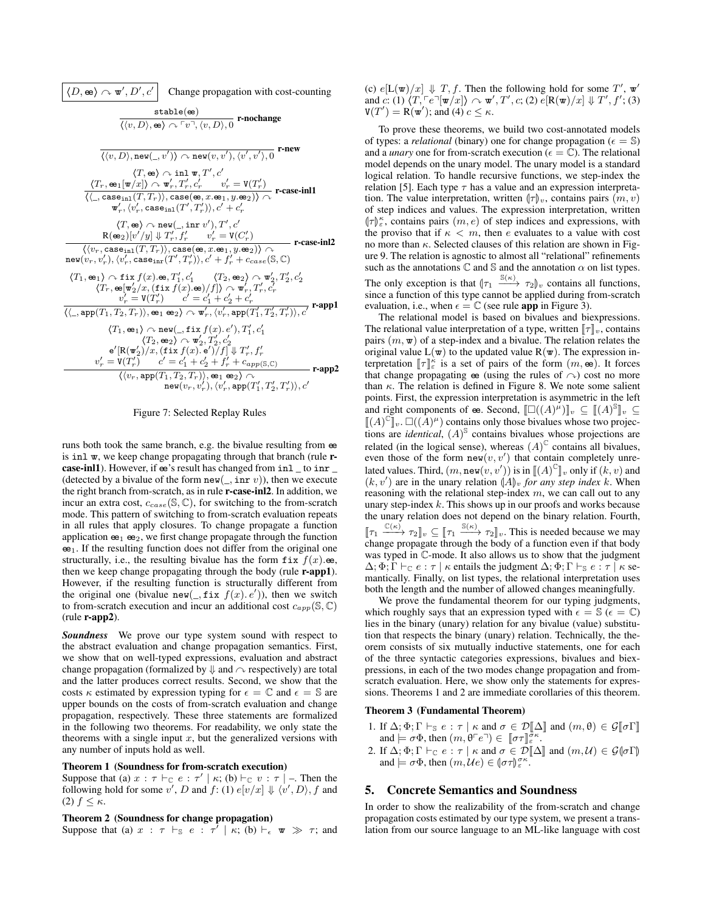$$
\boxed{\langle D, \mathbf{e} \rangle \land \mathbf{w}', D', c' \quad \text{Change propagation with cost-counting} \quad \frac{\text{stable}(\mathbf{e})}{\langle \langle v, D \rangle, \mathbf{e} \rangle \land \ulcorner v", \langle v, D \rangle, 0} \quad \text{r-nochange} \quad \frac{\text{stable}(\mathbf{e})}{\langle \langle v, D \rangle, \mathbf{ne} \mathbf{w}(\_, v') \rangle \land \mathbf{ne} \mathbf{w}(v, v'), \langle v', v' \rangle, 0} \quad \text{r-new} \quad \frac{\langle T, \mathbf{e} \rangle \land \mathbf{in} \mathbf{w}(v, v'), \langle v', v' \rangle, 0}{\langle \langle \cdot, \mathbf{e} \mathbf{a} \mathbf{e} \mathbf{m} | T, T \rangle \rangle \land \mathbf{w}'_r, T'_r, c'_r \quad v'_r = \mathbf{V}(T'_r)} \quad \frac{\langle T, \mathbf{e} \mathbf{a}) \land \mathbf{w}'_r, T'_r, c'_r \quad v'_r = \mathbf{V}(T'_r)}{\langle \langle \cdot, \mathbf{c} \mathbf{a} \mathbf{e} \mathbf{e} \mathbf{m} | (T, T_r) \rangle, \mathbf{c} \mathbf{a} \mathbf{e} (\mathbf{e}, x \cdot \mathbf{e}_1, y \cdot \mathbf{e}_2) \rangle \land \mathbf{r} \cdot \mathbf{c} \mathbf{a} \mathbf{e} \cdot \mathbf{m} \mathbf{v}' \rangle, \mathbf{r}' \cdot \langle \langle T, \mathbf{e} \mathbf{e} \mathbf{e} \mathbf{e} \mathbf{e} \mathbf{m} | (T', T'_r) \rangle, c' + c'_r \quad \langle T, \mathbf{e} \rangle \land \mathbf{ne} \mathbf{w}(\_, \mathbf{in} \mathbf{v}') \mathbf{r}' \mathbf{r}' \mathbf{c}' \rangle \quad \text{R}(\mathbf{e}_2)[v'/y] \Downarrow T'_r, f'_r \quad v'_r = \mathbf{V}(C'_r) \quad \langle \langle v_r, \mathbf{c} \mathbf{a} \mathbf{e} \mathbf{m} | (T, T_r) \rangle, \mathbf{c} \mathbf{a} \mathbf{e} (\mathbf{e}, x \cdot \mathbf{e}_1, y \cdot \mathbf{e}_2) \rangle \
$$

Figure 7: Selected Replay Rules

runs both took the same branch, e.g. the bivalue resulting from ee is inl w, we keep change propagating through that branch (rule rcase-inl1). However, if  $e$ s's result has changed from inl \_ to inr \_ (detected by a bivalue of the form  $new(\_, \text{inr } v)$ ), then we execute the right branch from-scratch, as in rule r-case-inl2. In addition, we incur an extra cost,  $c_{case}(\mathbb{S}, \mathbb{C})$ , for switching to the from-scratch mode. This pattern of switching to from-scratch evaluation repeats in all rules that apply closures. To change propagate a function application  $e_1$   $e_2$ , we first change propagate through the function  $e_1$ . If the resulting function does not differ from the original one structurally, i.e., the resulting bivalue has the form  $fix f(x)$ .ee, then we keep change propagating through the body (rule **r-app1**). However, if the resulting function is structurally different from the original one (bivalue new(, fix  $f(x)$ . e')), then we switch to from-scratch execution and incur an additional cost  $c_{app}(\mathbb{S}, \mathbb{C})$ (rule r-app2).

*Soundness* We prove our type system sound with respect to the abstract evaluation and change propagation semantics. First, we show that on well-typed expressions, evaluation and abstract change propagation (formalized by  $\Downarrow$  and  $\curvearrowright$  respectively) are total and the latter produces correct results. Second, we show that the costs  $\kappa$  estimated by expression typing for  $\epsilon = \mathbb{C}$  and  $\epsilon = \mathbb{S}$  are upper bounds on the costs of from-scratch evaluation and change propagation, respectively. These three statements are formalized in the following two theorems. For readability, we only state the theorems with a single input  $x$ , but the generalized versions with any number of inputs hold as well.

### Theorem 1 (Soundness for from-scratch execution)

Suppose that (a)  $x : \tau \vdash_{\mathbb{C}} e : \tau' \mid \kappa$ ; (b)  $\vdash_{\mathbb{C}} v : \tau \mid$  - Then the following hold for some v', D and  $f: (1) e[v/x] \Downarrow \langle v', D \rangle$ , f and (2)  $f \leq \kappa$ .

## Theorem 2 (Soundness for change propagation)

Suppose that (a)  $x : \tau \vdash_{\mathbb{S}} e : \tau' \mid \kappa$ ; (b)  $\vdash_{\epsilon} \mathbf{w} \gg \tau$ ; and

(c)  $e[L(\mathbf{w})/x] \Downarrow T, f$ . Then the following hold for some  $T'$ ,  $\mathbf{w}'$ and c: (1)  $\langle T, \lceil e \rceil [\mathbf{w}/x] \rangle \sim \mathbf{w}', T', c;$  (2)  $e[R(\mathbf{w})/x] \Downarrow T', f';$  (3)  $V(T') = R(w')$ ; and (4)  $c \leq \kappa$ .

To prove these theorems, we build two cost-annotated models of types: a *relational* (binary) one for change propagation ( $\epsilon = \mathbb{S}$ ) and a *unary* one for from-scratch execution ( $\epsilon = \mathbb{C}$ ). The relational model depends on the unary model. The unary model is a standard logical relation. To handle recursive functions, we step-index the relation [5]. Each type  $\tau$  has a value and an expression interpretation. The value interpretation, written  $\langle \tau \rangle_v$ , contains pairs  $(m, v)$ of step indices and values. The expression interpretation, written  $\{\tau\}_{\varepsilon}^{\kappa}$ , contains pairs  $(m, e)$  of step indices and expressions, with the proviso that if  $\kappa < m$ , then e evaluates to a value with cost the proviso that if  $\kappa < m$ , then e evaluates to a value with cost no more than  $\kappa$ . Selected clauses of this relation are shown in Figure 9. The relation is agnostic to almost all "relational" refinements such as the annotations  $\mathbb C$  and  $\mathbb S$  and the annotation  $\alpha$  on list types. The only exception is that  $(\tau_1 \xrightarrow{S(\kappa)} \tau_2)$  contains all functions, since a function of this type cannot be applied during from-scratch

evaluation, i.e., when  $\epsilon = \mathbb{C}$  (see rule app in Figure 3).

The relational model is based on bivalues and biexpressions. The relational value interpretation of a type, written  $\llbracket \tau \rrbracket_v$ , contains pairs  $(m, \mathbf{w})$  of a step-index and a bivalue. The relation relates the original value  $L(\mathbf{w})$  to the updated value  $R(\mathbf{w})$ . The expression interpretation  $[\![\tau]\!]_k^k$  is a set of pairs of the form  $(m, \omega)$ . It forces that change propagating  $\omega$  (using the rules of  $\curvearrowright$ ) cost no more than  $\kappa$ . The relation is defined in Figure 8. We note some salient points. First, the expression interpretation is asymmetric in the left and right components of  $\mathfrak{E}$ . Second,  $[\Box((A)^{\mu})]_{\nu} \subseteq [A)^{\mathbb{S}}]_{\nu} \subseteq$ <br> $[\Box(A)^{\mathbb{C}}]_{\nu} \Box((A)^{\mu})$  contains only those bivalues whose two projections  $\llbracket (A)^\mathbb{C} \rrbracket_v$ .  $\square((A)^\mu)$  contains only those bivalues whose two projections are *identical*,  $(A)^\$$  contains bivalues whose projections are related (in the logical sense), whereas  $(A)^\mathbb{C}$  contains all bivalues, even those of the form  $\text{new}(v, v')$  that contain completely unrelated values. Third,  $(m, \text{new}(v, v'))$  is in  $[(A)^{\mathbb{C}}]_v$  only if  $(k, v)$  and  $(k, v')$  are in the unary relation  $(A)$  for any step index k. When  $(k, v')$  are in the unary relation  $(A)_v$  *for any step index* k. When reasoning with the relational step-index m, we can call out to any reasoning with the relational step-index  $m$ , we can call out to any unary step-index  $k$ . This shows up in our proofs and works because the unary relation does not depend on the binary relation. Fourth,  $[\![\tau_1 \xrightarrow{\mathbb{C}(\kappa)} \tau_2]\!]_v \subseteq [\![\tau_1 \xrightarrow{\mathbb{S}(\kappa)} \tau_2]\!]_v$ . This is needed because we may change propagate through the body of a function even if that body was typed in C-mode. It also allows us to show that the judgment  $\Delta; \Phi; \Gamma \vdash_{\mathbb{C}} e : \tau \mid \kappa$  entails the judgment  $\Delta; \Phi; \Gamma \vdash_{\mathbb{S}} e : \tau \mid \kappa$  semantically. Finally, on list types, the relational interpretation uses both the length and the number of allowed changes meaningfully.

We prove the fundamental theorem for our typing judgments, which roughly says that an expression typed with  $\epsilon = \mathbb{S}$  ( $\epsilon = \mathbb{C}$ ) lies in the binary (unary) relation for any bivalue (value) substitution that respects the binary (unary) relation. Technically, the theorem consists of six mutually inductive statements, one for each of the three syntactic categories expressions, bivalues and biexpressions, in each of the two modes change propagation and fromscratch evaluation. Here, we show only the statements for expressions. Theorems 1 and 2 are immediate corollaries of this theorem.

#### Theorem 3 (Fundamental Theorem)

- 1. If  $\Delta; \Phi; \Gamma \vdash_{\mathbb{S}} e : \tau \mid \kappa$  and  $\sigma \in \mathcal{D}[\![\Delta]\!]$  and  $(m, \theta) \in \mathcal{G}[\![\sigma\Gamma]\!]$ and  $\models \sigma\Phi$ , then  $(m, \theta \top e \top) \in [\![ \sigma\tau ]\!]_e^{\sigma\kappa}$ .<br>If  $\Delta \cdot \Phi \cdot \Gamma \models_{\sigma} e : \sigma \models_{\sigma} \text{and } \sigma \in \mathcal{D}[\![ \Delta \!]$
- 2. If  $\Delta; \Phi; \Gamma \vdash_{\mathbb{C}} e : \tau \mid \kappa$  and  $\sigma \in \mathcal{D}[\![\Delta]\!]$  and  $(m, \mathcal{U}) \in \mathcal{G}[\![\sigma]\!]$ and  $\models \sigma\Phi$ , then  $(m, \mathcal{U}e) \in (\sigma\tau)_{\varepsilon}^{\sigma\kappa}$ .

# 5. Concrete Semantics and Soundness

In order to show the realizability of the from-scratch and change propagation costs estimated by our type system, we present a translation from our source language to an ML-like language with cost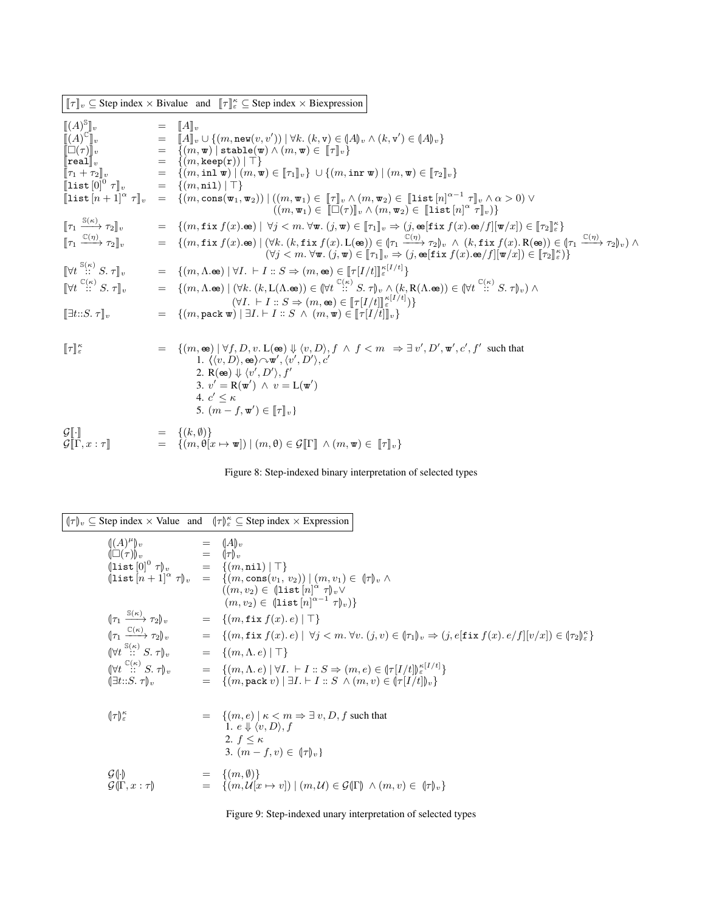|                                                                                                                                            | $[\![\tau]\!]_v \subseteq$ Step index $\times$ Bivalue and $[\![\tau]\!]_{{\varepsilon}}^{\kappa} \subseteq$ Step index $\times$ Biexpression                                                                                                                                                                                                                                                                                                                                                                                                                                                                                                                                                                                                                                                                                                                               |
|--------------------------------------------------------------------------------------------------------------------------------------------|-----------------------------------------------------------------------------------------------------------------------------------------------------------------------------------------------------------------------------------------------------------------------------------------------------------------------------------------------------------------------------------------------------------------------------------------------------------------------------------------------------------------------------------------------------------------------------------------------------------------------------------------------------------------------------------------------------------------------------------------------------------------------------------------------------------------------------------------------------------------------------|
| $\llbracket (A)^{\mathbb{S}} \rrbracket_v$<br>$\left[\left\lceil\operatorname{list}\left[n+1\right]^{\alpha}\,\tau\right\rceil_{v}\right]$ | $=$ $\ A\ _v$<br>$\begin{array}{lll} \llbracket \mathbf{A} \mathbf{y}^{\text{top}} \rrbracket_v & = & \llbracket A \rrbracket_v \sqcup \{(m,\mathtt{new}(v,v')) \mid \forall k. \ (k,\mathtt{v}) \in (A)_{v} \} \ \llbracket \Box(\tau) \rrbracket_v & = & \llbracket A \rrbracket_v \cup \{(m,\mathtt{new}(v,v')) \mid \forall k. \ (k,\mathtt{v}) \in (A)_{v} \} \ \llbracket \Box(\tau) \rrbracket_v & = & \lbrace (m,\mathtt{w}) \mid \mathtt{stable}(\mathtt{w}) \land (m,\mathtt{w}) \in \llbracket \tau \rrbracket_v$<br>$= \left\{ (m, \cos(\mathbf{w}_1, \mathbf{w}_2)) \mid ((m, \mathbf{w}_1) \in \llbracket \tau \rrbracket_v \wedge (m, \mathbf{w}_2) \in \llbracket \texttt{list}[n]^{\alpha - 1} \tau \rrbracket_v \wedge \alpha > 0 \right) \vee$<br>$((m, \mathbf{w}_1) \in [\Box(\tau)]_v \wedge (m, \mathbf{w}_2) \in [\mathrm{list}[n]^\alpha \tau]_v)$ |
| $[\![\tau_1 \xrightarrow{\mathbb{S}(\kappa)} \tau_2]\!]_v$                                                                                 | $= \{(m, \texttt{fix } f(x). \oplus) \mid \forall j < m. \forall \mathbf{w}. (j, \mathbf{w}) \in [\![\tau_1]\!]_v \Rightarrow (j, \texttt{e}[\texttt{fix } f(x). \oplus f][\![\mathbf{w}/x]\!]) \in [\![\tau_2]\!]_e^\kappa\}$                                                                                                                                                                                                                                                                                                                                                                                                                                                                                                                                                                                                                                              |
| $\llbracket \tau_1 \xrightarrow{\mathbb{C}(\eta)} \tau_2 \rrbracket_v$                                                                     | $= \{(m, \texttt{fix } f(x). \oplus) \mid (\forall k. (k, \texttt{fix } f(x). L(\oplus)) \in (\tau_1 \xrightarrow{\mathbb{C}(\eta)} \tau_2)_v \land (k, \texttt{fix } f(x). R(\oplus)) \in (\tau_1 \xrightarrow{\mathbb{C}(\eta)} \tau_2)_v) \land (k, \texttt{fix } f(x). R(\oplus)) \in (\tau_2 \xrightarrow{\mathbb{C}(\eta)} \tau_2)_v \}$<br>$(\forall j < m. \ \forall \mathbf{w}. (j, \mathbf{w}) \in [\![\tau_1]\!]_v \Rightarrow (j, \mathbf{e}(\mathbf{fix} f(x). \mathbf{e}/f][\![\mathbf{w}/x]) \in [\![\tau_2]\!]_e^{\kappa})\}$                                                                                                                                                                                                                                                                                                                               |
| $\mathbb{V}t \stackrel{\mathbb{S}(\kappa)}{\ldots} S. \tau\mathbb{I}_v$                                                                    | $= \{(m, \Lambda, \mathbf{e}) \mid \forall I. \vdash I :: S \Rightarrow (m, \mathbf{e}) \in [\![\tau [I/t]\!]_{\varepsilon}^{\kappa[I/t]} \}$                                                                                                                                                                                                                                                                                                                                                                                                                                                                                                                                                                                                                                                                                                                               |
| $\mathbb{V}t \stackrel{\mathbb{C}(\kappa)}{\ldots} S. \tau \mathbb{I}_v$                                                                   | $= \{(m,\Lambda.\oplus)\mid (\forall k.\ (k,\mathcal{L}(\Lambda.\oplus))\in(\forall t\stackrel{\mathbb{C}(\kappa)}{\cdots} S.\ \tau)_{v}\wedge (k,\mathcal{R}(\Lambda.\oplus))\in(\forall t\stackrel{\mathbb{C}(\kappa)}{\cdots} S.\ \tau)_{v})\wedge$                                                                                                                                                                                                                                                                                                                                                                                                                                                                                                                                                                                                                      |
| $\left[\exists t::S.\ \tau\right]_{v}$                                                                                                     | $(\forall I. \vdash I :: S \Rightarrow (m, \mathbf{e}) \in [\![\tau[I/t]\!]_{\varepsilon}^{\kappa[I/t]})\}$<br>$= \{(m, \texttt{pack}\,\mathbf{w}) \mid \exists I. \vdash I :: S \land (m, \mathbf{w}) \in [\![\tau[I/t]\!]_v\}$                                                                                                                                                                                                                                                                                                                                                                                                                                                                                                                                                                                                                                            |
| $\llbracket \tau \rrbracket_{\varepsilon}^{\kappa}$                                                                                        | $= \{(m, \mathbf{e}) \mid \forall f, D, v. L(\mathbf{e}) \Downarrow \langle v, D \rangle, f \land f \leq m \Rightarrow \exists v', D', \mathbf{w}', c', f' \text{ such that }$<br>1. $\langle \langle v, D \rangle, \otimes \rangle \sim \mathbf{w}', \langle v', D' \rangle, c'$<br>2. R(ee) $\Downarrow \langle v', D' \rangle, f'$<br>3. $v' = R(\mathbf{w}') \land v = L(\mathbf{w}')$<br>4. $c' \leq \kappa$<br>5. $(m - f, \mathbf{w}') \in [\![\tau]\!]_v$                                                                                                                                                                                                                                                                                                                                                                                                           |
| $\mathcal{G}[\![\cdot]\!]$<br>$\mathcal{G}[\![\Gamma, x:\tau]\!]$                                                                          | $= \{(k, \emptyset)\}\$<br>$= \{(m, \theta[x \mapsto \mathbf{w}]) \mid (m, \theta) \in \mathcal{G}[\![\Gamma]\!] \wedge (m, \mathbf{w}) \in [\![\tau]\!]_v\}$                                                                                                                                                                                                                                                                                                                                                                                                                                                                                                                                                                                                                                                                                                               |

Figure 8: Step-indexed binary interpretation of selected types

|                                                                   | $(\tau)_v \subseteq$ Step index $\times$ Value and $(\tau)_\varepsilon^{\kappa} \subseteq$ Step index $\times$ Expression                                                                                                                                                                       |
|-------------------------------------------------------------------|-------------------------------------------------------------------------------------------------------------------------------------------------------------------------------------------------------------------------------------------------------------------------------------------------|
|                                                                   | $\begin{array}{lll} \P(A)^\mu\}_v & = & (A)_v \\ \P\Box(\tau)\)_v & = & (\tau)_v \\ \P\mathrm{list}\, [0]^0\ \tau\ _v & = & \{ (m,\mathtt{nil}) \mid \top \} \\ \P\mathrm{list}\, [n+1]^\alpha\ \tau\ _v & = & \{ (m,\mathtt{cons}(v_1,\,v_2)) \mid (m,v_1) \in\ (\tau\ _v\ \wedge \end{array}$ |
|                                                                   |                                                                                                                                                                                                                                                                                                 |
|                                                                   | $((m, v_2) \in (\text{list } [n]^\alpha \tau)_v \vee$<br>$(m, v_2) \in (\text{list } [n]^{\alpha-1} \tau)_v)$                                                                                                                                                                                   |
| $\left(\tau_1 \xrightarrow{\mathbb{S}(\kappa)} \tau_2\right)_v$   | $= \{ (m, \texttt{fix} f(x), e)   \top \}$                                                                                                                                                                                                                                                      |
| $\left\ \tau_1 \xrightarrow{\mathbb{C}(\kappa)} \tau_2\right\ _v$ | $= \hspace{3.5mm} \{(m, \texttt{fix}~f(x) .~e)~ ~\forall j < m.~\forall v.~(j,v) \in (\![\tau_1]\!]_v \Rightarrow (j, e[\texttt{fix}~f(x) .~e/f][v/x]) \in (\![\tau_2]\!]_e^\kappa\}$                                                                                                           |
| $(\forall t \stackrel{\mathbb{S}(\kappa)}{\ldots} S, \tau)_{\nu}$ | $= \{(m, \Lambda, e)   \top\}$                                                                                                                                                                                                                                                                  |
| $\mathbb{W}t \stackrel{\mathbb{C}(\kappa)}{\cdots} S. \tau _{v}$  | $= \{(m,\Lambda,e)   \forall I. \vdash I :: S \Rightarrow (m,e) \in \left(\frac{f}{I/t}\right)\right) \in I^{(I/t)}$                                                                                                                                                                            |
| $(\exists t::S. \tau)_{n}$                                        | $= \{(m, \text{pack } v)   \exists I. \vdash I :: S \land (m, v) \in (\tau[I/t])_v\}$                                                                                                                                                                                                           |
|                                                                   |                                                                                                                                                                                                                                                                                                 |
| $(\! \tau \!)_{\varepsilon}^{\kappa}$                             | $= \{(m, e) \mid \kappa < m \Rightarrow \exists v, D, f \text{ such that }\}$<br>1. $e \Downarrow \langle v, D \rangle$ , f<br>2. $f \leq \kappa$<br>3. $(m - f, v) \in (\lceil \tau \rceil_v)$                                                                                                 |
| $\mathcal{G}(\cdot)$<br>$\mathcal{G}(\Gamma, x : \tau)$           | $= \{(m, \emptyset)\}\$<br>$= \{(m, \mathcal{U}[x \mapsto v]) \mid (m, \mathcal{U}) \in \mathcal{G}(\Gamma) \land (m, v) \in (\mathcal{T}_v)\}$                                                                                                                                                 |

Figure 9: Step-indexed unary interpretation of selected types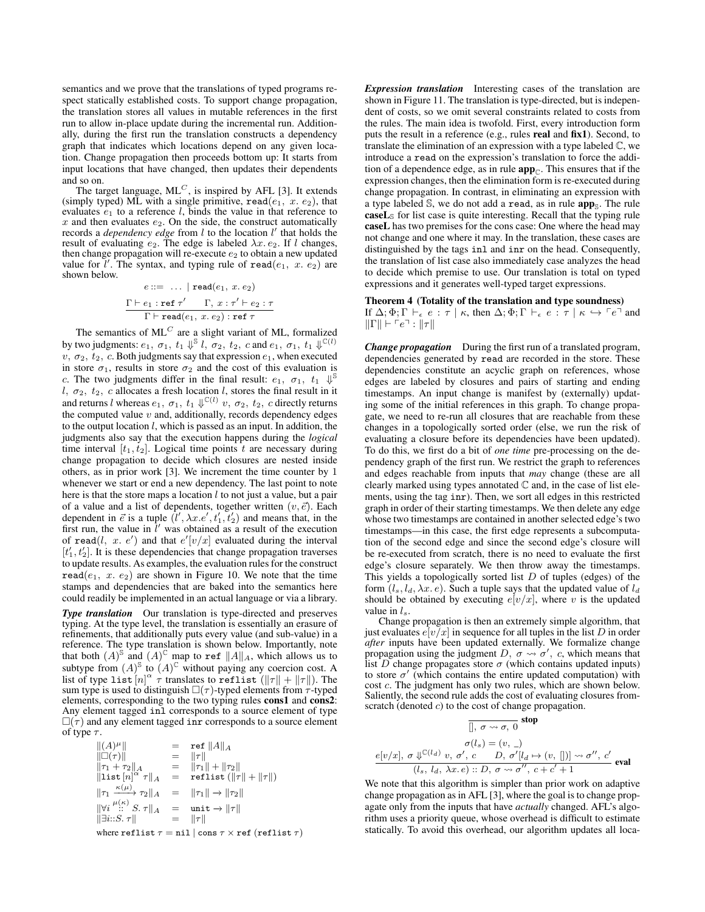semantics and we prove that the translations of typed programs respect statically established costs. To support change propagation, the translation stores all values in mutable references in the first run to allow in-place update during the incremental run. Additionally, during the first run the translation constructs a dependency graph that indicates which locations depend on any given location. Change propagation then proceeds bottom up: It starts from input locations that have changed, then updates their dependents and so on.

The target language,  $ML<sup>C</sup>$ , is inspired by AFL [3]. It extends (simply typed) ML with a single primitive,  $\texttt{read}(e_1, x. e_2)$ , that evaluates  $e_1$  to a reference l, binds the value in that reference to  $x$  and then evaluates  $e_2$ . On the side, the construct automatically records a *dependency edge* from *l* to the location *l'* that holds the result of evaluating  $e_2$ . The edge is labeled  $\lambda x. e_2$ . If l changes, then change propagation will re-execute  $e_2$  to obtain a new updated value for  $\overline{l}'$ . The syntax, and typing rule of read( $e_1$ , x.  $e_2$ ) are shown below.

$$
e ::= \dots | \operatorname{read}(e_1, x, e_2)
$$
  
\n
$$
\frac{\Gamma \vdash e_1 : \operatorname{ref} \tau' \quad \Gamma, x : \tau' \vdash e_2 : \tau}{\Gamma \vdash \operatorname{read}(e_1, x. e_2) : \operatorname{ref} \tau}
$$

The semantics of  $ML^C$  are a slight variant of ML, formalized by two judgments:  $e_1, \sigma_1, t_1 \Downarrow^{\mathbb{S}} l, \sigma_2, t_2, c$  and  $e_1, \sigma_1, t_1 \Downarrow^{\mathbb{C}(l)}$  $v, \sigma_2, t_2, c$ . Both judgments say that expression  $e_1$ , when executed in store  $\sigma_1$ , results in store  $\sigma_2$  and the cost of this evaluation is c. The two judgments differ in the final result:  $e_1$ ,  $\sigma_1$ ,  $t_1 \Downarrow^{\mathbb{S}}$ l,  $\sigma_2$ ,  $t_2$ , c allocates a fresh location l, stores the final result in it and returns l whereas  $e_1, \sigma_1, t_1 \Downarrow^{\mathbb{C}(l)} v, \sigma_2, t_2, c$  directly returns the computed value  $v$  and, additionally, records dependency edges to the output location  $l$ , which is passed as an input. In addition, the judgments also say that the execution happens during the *logical* time interval  $[t_1, t_2]$ . Logical time points t are necessary during change propagation to decide which closures are nested inside others, as in prior work [3]. We increment the time counter by 1 whenever we start or end a new dependency. The last point to note here is that the store maps a location  $l$  to not just a value, but a pair of a value and a list of dependents, together written  $(v, \vec{e})$ . Each dependent in  $\vec{e}$  is a tuple  $(l', \lambda x.e', t_1', t_2')$  and means that, in the first run, the value in  $\hat{l}'$  was obtained as a result of the execution of read(*l*, x. e') and that  $e'[v/x]$  evaluated during the interval  $[t'_1, t'_2]$ . It is these dependencies that change propagation traverses to update results. As examples, the evaluation rules for the construct read( $e_1$ , x.  $e_2$ ) are shown in Figure 10. We note that the time stamps and dependencies that are baked into the semantics here could readily be implemented in an actual language or via a library.

**Type translation** Our translation is type-directed and preserves typing. At the type level, the translation is essentially an erasure of refinements, that additionally puts every value (and sub-value) in a reference. The type translation is shown below. Importantly, note that both  $(A)^\mathbb{S}$  and  $(A)^\mathbb{C}$  map to ref  $||A||_A$ , which allows us to subtype from  $(A)^\mathcal{S}$  to  $(A)^\mathbb{C}$  without paying any coercion cost. A list of type list  $[n]^\alpha \tau$  translates to reflist  $(\|\tau\| + \|\tau\|)$ . The sum type is used to distinguish  $\square(\tau)$ -typed elements from  $\tau$ -typed elements, corresponding to the two typing rules cons1 and cons2: Any element tagged inl corresponds to a source element of type  $\square(\tau)$  and any element tagged inr corresponds to a source element of type  $\tau$ .

| $  (A)\mu  $                                             |     | $=$ ref $  A  _A$                     |
|----------------------------------------------------------|-----|---------------------------------------|
| $\ \Box(\tau)\ $                                         | $=$ | $\ \tau\ $                            |
| $  \tau_1 + \tau_2  _A$                                  |     | $=   \tau_1   +   \tau_2  $           |
| $\ \text{list}[n]^{\alpha} \tau\ _{A}$                   | $=$ | reflist $(\ \tau\  + \ \tau\ )$       |
| $\ \tau_1 \xrightarrow{\kappa(\mu)} \tau_2\ _A$          |     | $=   \tau_1   \rightarrow   \tau_2  $ |
| $\ \forall i \stackrel{\mu(\kappa)}{\ldots} S. \tau\ _A$ |     | $=$ unit $\rightarrow$ $\ \tau\ $     |
| $\Vert \exists i::S. \tau \Vert$                         |     | $=$ $  \tau  $                        |
|                                                          |     | $\sim$ $\sim$ $\sim$ $\sim$           |

where reflist  $\tau = \text{nil}$  | cons  $\tau \times \text{ref}$  (reflist  $\tau$ )

*Expression translation* Interesting cases of the translation are shown in Figure 11. The translation is type-directed, but is independent of costs, so we omit several constraints related to costs from the rules. The main idea is twofold. First, every introduction form puts the result in a reference (e.g., rules real and fix1). Second, to translate the elimination of an expression with a type labeled C, we introduce a read on the expression's translation to force the addition of a dependence edge, as in rule  $app_{\mathbb{C}}$ . This ensures that if the expression changes, then the elimination form is re-executed during change propagation. In contrast, in eliminating an expression with a type labeled  $\mathbb{S}$ , we do not add a read, as in rule  $app_{\mathbb{S}}$ . The rule  $\textbf{caseL}_{\mathcal{S}}$  for list case is quite interesting. Recall that the typing rule caseL has two premises for the cons case: One where the head may not change and one where it may. In the translation, these cases are distinguished by the tags inl and inr on the head. Consequently, the translation of list case also immediately case analyzes the head to decide which premise to use. Our translation is total on typed expressions and it generates well-typed target expressions.

## Theorem 4 (Totality of the translation and type soundness)

If  $\Delta; \Phi; \Gamma \vdash_{\epsilon} e : \tau \mid \kappa$ , then  $\Delta; \Phi; \Gamma \vdash_{\epsilon} e : \tau \mid \kappa \hookrightarrow \lceil e \rceil$  and  $\|\Gamma\| \vdash \ulcorner e \urcorner : \|\tau\|$ 

*Change propagation* During the first run of a translated program, dependencies generated by read are recorded in the store. These dependencies constitute an acyclic graph on references, whose edges are labeled by closures and pairs of starting and ending timestamps. An input change is manifest by (externally) updating some of the initial references in this graph. To change propagate, we need to re-run all closures that are reachable from these changes in a topologically sorted order (else, we run the risk of evaluating a closure before its dependencies have been updated). To do this, we first do a bit of *one time* pre-processing on the dependency graph of the first run. We restrict the graph to references and edges reachable from inputs that *may* change (these are all clearly marked using types annotated  $\mathbb C$  and, in the case of list elements, using the tag inr). Then, we sort all edges in this restricted graph in order of their starting timestamps. We then delete any edge whose two timestamps are contained in another selected edge's two timestamps—in this case, the first edge represents a subcomputation of the second edge and since the second edge's closure will be re-executed from scratch, there is no need to evaluate the first edge's closure separately. We then throw away the timestamps. This yields a topologically sorted list  $D$  of tuples (edges) of the form  $(l_s, l_d, \lambda x. e)$ . Such a tuple says that the updated value of  $l_d$ should be obtained by executing  $e[v/x]$ , where v is the updated value in  $l_s$ .

Change propagation is then an extremely simple algorithm, that just evaluates  $e[v/x]$  in sequence for all tuples in the list D in order *after* inputs have been updated externally. We formalize change propagation using the judgment D,  $\sigma \rightsquigarrow \sigma'$ , c, which means that list D change propagates store  $\sigma$  (which contains updated inputs) to store  $\sigma'$  (which contains the entire updated computation) with cost c. The judgment has only two rules, which are shown below. Saliently, the second rule adds the cost of evaluating closures fromscratch (denoted  $c$ ) to the cost of change propagation.

$$
\frac{}{\left[0, \sigma \leadsto \sigma, 0\right]} \text{stop}
$$
\n
$$
\sigma(l_s) = (v, \_)
$$
\n
$$
e[v/x], \sigma \Downarrow^{\mathbb{C}(l_d)} v, \sigma', c \quad D, \sigma'[l_d \mapsto (v, \_])] \leadsto \sigma'', c'
$$
\n
$$
(l_s, l_d, \lambda x. e) :: D, \sigma \leadsto \sigma'', c + c' + 1
$$

We note that this algorithm is simpler than prior work on adaptive change propagation as in AFL [3], where the goal is to change propagate only from the inputs that have *actually* changed. AFL's algorithm uses a priority queue, whose overhead is difficult to estimate statically. To avoid this overhead, our algorithm updates all loca-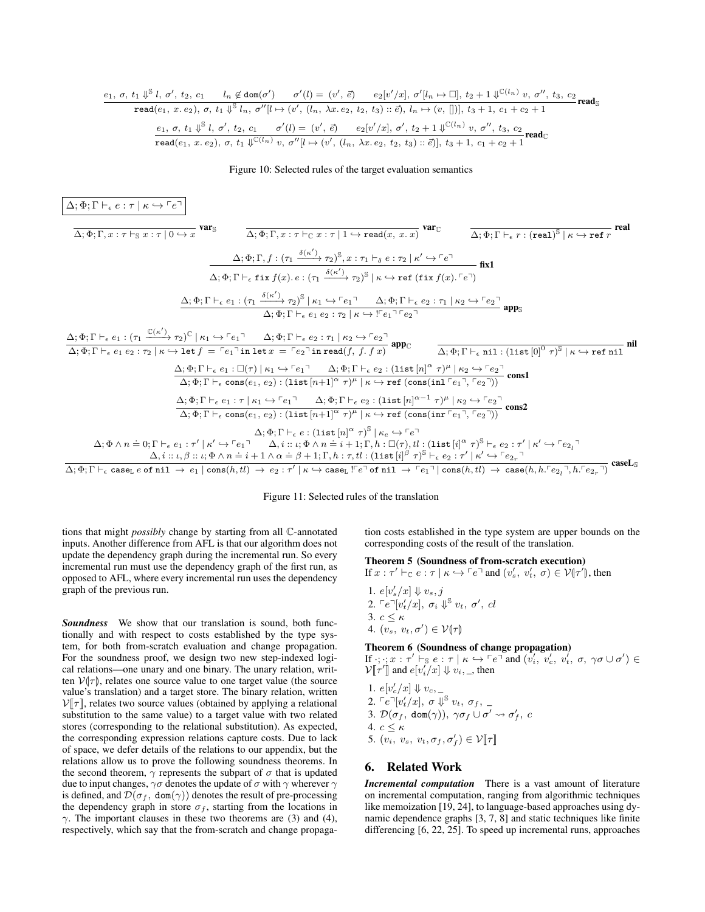$$
\cfrac{e_1, \sigma, t_1 \Downarrow^{\mathbb{S}} l, \sigma', t_2, c_1 \qquad l_n \not\in \text{dom}(\sigma') \qquad \sigma'(l) = (v', \vec{e}) \qquad e_2[v'/x], \sigma'[l_n \mapsto \Box], t_2 + 1 \Downarrow^{\mathbb{C}(l_n)} v, \sigma'', t_3, c_2 \qquad \text{read}(\varepsilon_1, x, e_2), \sigma, t_1 \Downarrow^{\mathbb{S}} l_n, \sigma''[l \mapsto (v', (l_n, \lambda x, e_2, t_2, t_3) :: \vec{e}), l_n \mapsto (v, [])], t_3 + 1, c_1 + c_2 + 1
$$
\n
$$
\cfrac{e_1, \sigma, t_1 \Downarrow^{\mathbb{S}} l, \sigma', t_2, c_1 \qquad \sigma'(l) = (v', \vec{e}) \qquad e_2[v'/x], \sigma', t_2 + 1 \Downarrow^{\mathbb{C}(l_n)} v, \sigma'', t_3, c_2 \qquad \text{read}(\varepsilon_1, x, e_2), \sigma, t_1 \Downarrow^{\mathbb{C}(l_n)} v, \sigma''[l \mapsto (v', (l_n, \lambda x, e_2, t_2, t_3) :: \vec{e})], t_3 + 1, c_1 + c_2 + 1
$$

## Figure 10: Selected rules of the target evaluation semantics

$$
\frac{\Delta;\Phi;\Gamma\vdash_{\epsilon}e:\tau\mid\kappa\hookrightarrow\ulcorner e\urcorner\vert\bigtriangleup\star\Phi\tau\mathbb{R}\star\mathbb{R}\star\mathbb{R}\star\mathbb{R}\star\mathbb{R}\star\mathbb{R}\star\mathbb{R}\star\mathbb{R}\star\mathbb{R}\star\mathbb{R}\star\mathbb{R}\star\mathbb{R}\star\mathbb{R}\star\mathbb{R}\star\mathbb{R}\star\mathbb{R}\star\mathbb{R}\star\mathbb{R}\star\mathbb{R}\star\mathbb{R}\star\mathbb{R}\star\mathbb{R}\star\mathbb{R}\star\mathbb{R}\star\mathbb{R}\star\mathbb{R}\star\mathbb{R}\star\mathbb{R}\star\mathbb{R}\star\mathbb{R}\star\mathbb{R}\star\mathbb{R}\star\mathbb{R}\star\mathbb{R}\star\mathbb{R}\star\mathbb{R}\star\mathbb{R}\star\mathbb{R}\star\mathbb{R}\star\mathbb{R}\star\mathbb{R}\star\mathbb{R}\star\mathbb{R}\star\mathbb{R}\star\mathbb{R}\star\mathbb{R}\star\mathbb{R}\star\mathbb{R}\star\mathbb{R}\star\mathbb{R}\star\mathbb{R}\star\mathbb{R}\star\mathbb{R}\star\mathbb{R}\star\mathbb{R}\star\mathbb{R}\star\mathbb{R}\star\mathbb{R}\star\mathbb{R}\star\mathbb{R}\star\mathbb{R}\star\mathbb{R}\star\mathbb{R}\star\mathbb{R}\star\mathbb{R}\star\mathbb{R}\star\mathbb{R}\star\mathbb{R}\star\mathbb{R}\star\mathbb{R}\star\mathbb{R}\star\mathbb{R}\star\mathbb{R}\star\mathbb{R}\star\mathbb{R}\star\mathbb{R}\star\mathbb{R}\star\mathbb{R}\star\mathbb{R}\star\mathbb{R}\star\mathbb{R}\star\mathbb{R}\star\mathbb{R}\star\mathbb{R}\star\mathbb{R}\star\mathbb{R}\star\mathbb{R}\star\mathbb{R}\star\mathbb{R}\star\mathbb{R}\star\mathbb{R}\star\mathbb{R}\star\mathbb{R}\star\mathbb{R}\star\mathbb{R}\star\mathbb{R}\star\mathbb{R}\star\mathbb{R}\star\mathbb{R}\star\mathbb{R}\star\mathbb{R}\star\mathbb{R}\star\
$$

Figure 11: Selected rules of the translation

tions that might *possibly* change by starting from all C-annotated inputs. Another difference from AFL is that our algorithm does not update the dependency graph during the incremental run. So every incremental run must use the dependency graph of the first run, as opposed to AFL, where every incremental run uses the dependency graph of the previous run.

*Soundness* We show that our translation is sound, both functionally and with respect to costs established by the type system, for both from-scratch evaluation and change propagation. For the soundness proof, we design two new step-indexed logical relations—one unary and one binary. The unary relation, written  $V(\tau)$ , relates one source value to one target value (the source value's translation) and a target store. The binary relation, written  $V[\![\tau]\!]$ , relates two source values (obtained by applying a relational substitution to the same value) to a target value with two related stores (corresponding to the relational substitution). As expected, the corresponding expression relations capture costs. Due to lack of space, we defer details of the relations to our appendix, but the relations allow us to prove the following soundness theorems. In the second theorem,  $\gamma$  represents the subpart of  $\sigma$  that is updated due to input changes,  $\gamma\sigma$  denotes the update of  $\sigma$  with  $\gamma$  wherever  $\gamma$ is defined, and  $\mathcal{D}(\sigma_f, \text{dom}(\gamma))$  denotes the result of pre-processing the dependency graph in store  $\sigma_f$ , starting from the locations in  $\gamma$ . The important clauses in these two theorems are (3) and (4), respectively, which say that the from-scratch and change propagation costs established in the type system are upper bounds on the corresponding costs of the result of the translation.

# Theorem 5 (Soundness of from-scratch execution)

If  $x : \tau' \vdash_{\mathbb{C}} e : \tau \mid \kappa \hookrightarrow \ulcorner e \urcorner$  and  $(v'_s, v'_t, \sigma) \in \mathcal{V}(\tau')$ , then

1.  $e[v'_s/x] \Downarrow v_s, j$ 2.  $\ulcorner e\urcorner[v_t'/x], \sigma_i \Downarrow^{\mathbb{S}} v_t, \sigma', cl$ 3.  $c < \kappa$ 4.  $(v_s, v_t, \sigma') \in \mathcal{V}(\tau)$ 

## Theorem 6 (Soundness of change propagation)

If  $\cdot$ ;  $\cdot$ ;  $x : \tau' \vdash_{\mathbb{S}} e : \tau \mid \kappa \hookrightarrow \ulcorner e \urcorner$  and  $(v'_{i}, v'_{c}, v'_{t}, \sigma, \gamma \sigma \cup \sigma') \in$  $\mathcal{V}[\![\tau']\!]$  and  $e[v'_i/x] \Downarrow v_i, \_,$  then

- 1.  $e[v_c'/x] \Downarrow v_c$ , 2.  $\ulcorner e\urcorner[v_t'/x], \; \sigma \Downarrow^{\mathbb{S}} v_t, \; \sigma_f, \; \underline{\ }$ 3.  $\mathcal{D}(\sigma_f, \text{ dom}(\gamma)), \ \gamma \sigma_f \cup \sigma' \leadsto \sigma'_f, \ c$ 4.  $c \leq \kappa$
- 5.  $(v_i, v_s, v_t, \sigma_f, \sigma'_f) \in \mathcal{V}[\![\tau]\!]$

# 6. Related Work

*Incremental computation* There is a vast amount of literature on incremental computation, ranging from algorithmic techniques like memoization [19, 24], to language-based approaches using dynamic dependence graphs [3, 7, 8] and static techniques like finite differencing [6, 22, 25]. To speed up incremental runs, approaches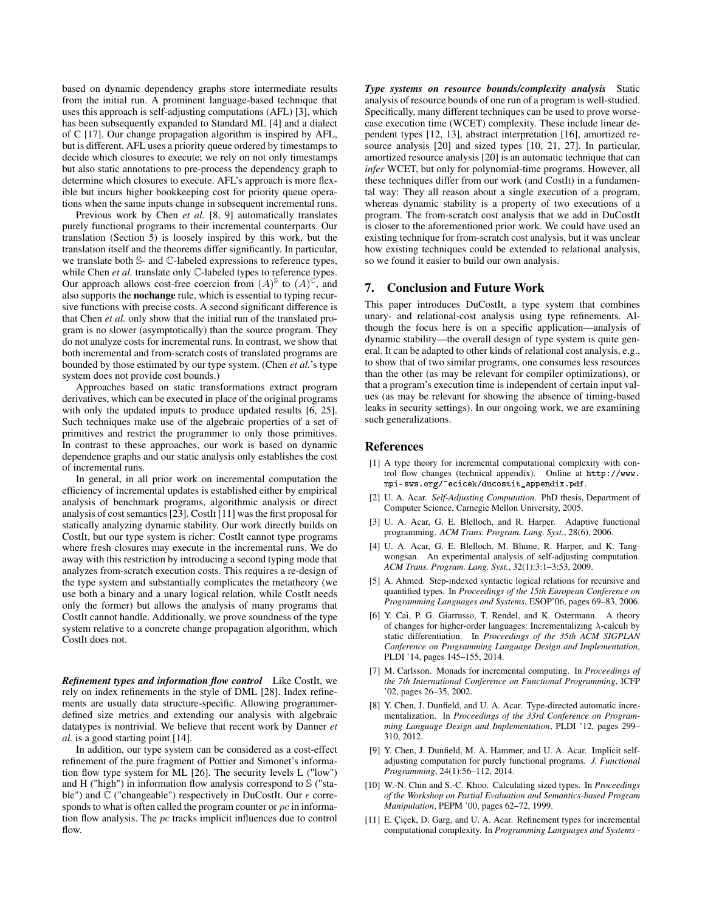based on dynamic dependency graphs store intermediate results from the initial run. A prominent language-based technique that uses this approach is self-adjusting computations (AFL) [3], which has been subsequently expanded to Standard ML [4] and a dialect of C [17]. Our change propagation algorithm is inspired by AFL, but is different. AFL uses a priority queue ordered by timestamps to decide which closures to execute; we rely on not only timestamps but also static annotations to pre-process the dependency graph to determine which closures to execute. AFL's approach is more flexible but incurs higher bookkeeping cost for priority queue operations when the same inputs change in subsequent incremental runs.

Previous work by Chen *et al.* [8, 9] automatically translates purely functional programs to their incremental counterparts. Our translation (Section 5) is loosely inspired by this work, but the translation itself and the theorems differ significantly. In particular, we translate both S- and C-labeled expressions to reference types, while Chen *et al.* translate only  $\mathbb C$ -labeled types to reference types. Our approach allows cost-free coercion from  $(A)^\mathcal{S}$  to  $(A)^\mathcal{C}$ , and also supports the nochange rule, which is essential to typing recursive functions with precise costs. A second significant difference is that Chen *et al.* only show that the initial run of the translated program is no slower (asymptotically) than the source program. They do not analyze costs for incremental runs. In contrast, we show that both incremental and from-scratch costs of translated programs are bounded by those estimated by our type system. (Chen *et al.*'s type system does not provide cost bounds.)

Approaches based on static transformations extract program derivatives, which can be executed in place of the original programs with only the updated inputs to produce updated results [6, 25]. Such techniques make use of the algebraic properties of a set of primitives and restrict the programmer to only those primitives. In contrast to these approaches, our work is based on dynamic dependence graphs and our static analysis only establishes the cost of incremental runs.

In general, in all prior work on incremental computation the efficiency of incremental updates is established either by empirical analysis of benchmark programs, algorithmic analysis or direct analysis of cost semantics [23]. CostIt [11] was the first proposal for statically analyzing dynamic stability. Our work directly builds on CostIt, but our type system is richer: CostIt cannot type programs where fresh closures may execute in the incremental runs. We do away with this restriction by introducing a second typing mode that analyzes from-scratch execution costs. This requires a re-design of the type system and substantially complicates the metatheory (we use both a binary and a unary logical relation, while CostIt needs only the former) but allows the analysis of many programs that CostIt cannot handle. Additionally, we prove soundness of the type system relative to a concrete change propagation algorithm, which CostIt does not.

*Refinement types and information flow control* Like CostIt, we rely on index refinements in the style of DML [28]. Index refinements are usually data structure-specific. Allowing programmerdefined size metrics and extending our analysis with algebraic datatypes is nontrivial. We believe that recent work by Danner *et al.* is a good starting point [14].

In addition, our type system can be considered as a cost-effect refinement of the pure fragment of Pottier and Simonet's information flow type system for ML [26]. The security levels L ("low") and H ("high") in information flow analysis correspond to  $\Im$  ("stable") and  $\mathbb C$  ("changeable") respectively in DuCostIt. Our  $\epsilon$  corresponds to what is often called the program counter or  $pc$  in information flow analysis. The pc tracks implicit influences due to control flow.

*Type systems on resource bounds/complexity analysis* Static analysis of resource bounds of one run of a program is well-studied. Specifically, many different techniques can be used to prove worsecase execution time (WCET) complexity. These include linear dependent types [12, 13], abstract interpretation [16], amortized resource analysis [20] and sized types [10, 21, 27]. In particular, amortized resource analysis [20] is an automatic technique that can *infer* WCET, but only for polynomial-time programs. However, all these techniques differ from our work (and CostIt) in a fundamental way: They all reason about a single execution of a program, whereas dynamic stability is a property of two executions of a program. The from-scratch cost analysis that we add in DuCostIt is closer to the aforementioned prior work. We could have used an existing technique for from-scratch cost analysis, but it was unclear how existing techniques could be extended to relational analysis, so we found it easier to build our own analysis.

## 7. Conclusion and Future Work

This paper introduces DuCostIt, a type system that combines unary- and relational-cost analysis using type refinements. Although the focus here is on a specific application—analysis of dynamic stability—the overall design of type system is quite general. It can be adapted to other kinds of relational cost analysis, e.g., to show that of two similar programs, one consumes less resources than the other (as may be relevant for compiler optimizations), or that a program's execution time is independent of certain input values (as may be relevant for showing the absence of timing-based leaks in security settings). In our ongoing work, we are examining such generalizations.

## References

- [1] A type theory for incremental computational complexity with control flow changes (technical appendix). Online at http://www. mpi-sws.org/~ecicek/ducostit\_appendix.pdf.
- [2] U. A. Acar. *Self-Adjusting Computation*. PhD thesis, Department of Computer Science, Carnegie Mellon University, 2005.
- [3] U. A. Acar, G. E. Blelloch, and R. Harper. Adaptive functional programming. *ACM Trans. Program. Lang. Syst.*, 28(6), 2006.
- [4] U. A. Acar, G. E. Blelloch, M. Blume, R. Harper, and K. Tangwongsan. An experimental analysis of self-adjusting computation. *ACM Trans. Program. Lang. Syst.*, 32(1):3:1–3:53, 2009.
- [5] A. Ahmed. Step-indexed syntactic logical relations for recursive and quantified types. In *Proceedings of the 15th European Conference on Programming Languages and Systems*, ESOP'06, pages 69–83, 2006.
- [6] Y. Cai, P. G. Giarrusso, T. Rendel, and K. Ostermann. A theory of changes for higher-order languages: Incrementalizing  $\lambda$ -calculi by static differentiation. In *Proceedings of the 35th ACM SIGPLAN Conference on Programming Language Design and Implementation*, PLDI '14, pages 145–155, 2014.
- [7] M. Carlsson. Monads for incremental computing. In *Proceedings of the 7th International Conference on Functional Programming*, ICFP '02, pages 26–35, 2002.
- [8] Y. Chen, J. Dunfield, and U. A. Acar. Type-directed automatic incrementalization. In *Proceedings of the 33rd Conference on Programming Language Design and Implementation*, PLDI '12, pages 299– 310, 2012.
- [9] Y. Chen, J. Dunfield, M. A. Hammer, and U. A. Acar. Implicit selfadjusting computation for purely functional programs. *J. Functional Programming*, 24(1):56–112, 2014.
- [10] W.-N. Chin and S.-C. Khoo. Calculating sized types. In *Proceedings of the Workshop on Partial Evaluation and Semantics-based Program Manipulation*, PEPM '00, pages 62–72, 1999.
- [11] E. Çiçek, D. Garg, and U. A. Acar. Refinement types for incremental computational complexity. In *Programming Languages and Systems -*